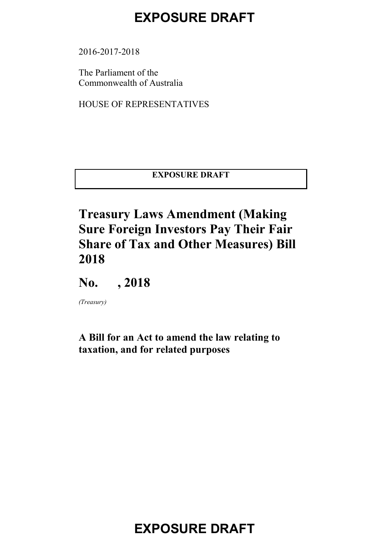2016-2017-2018

The Parliament of the Commonwealth of Australia

HOUSE OF REPRESENTATIVES

**EXPOSURE DRAFT**

#### **Treasury Laws Amendment (Making Sure Foreign Investors Pay Their Fair Share of Tax and Other Measures) Bill 2018**

**No. , 2018**

*(Treasury)*

#### **A Bill for an Act to amend the law relating to taxation, and for related purposes**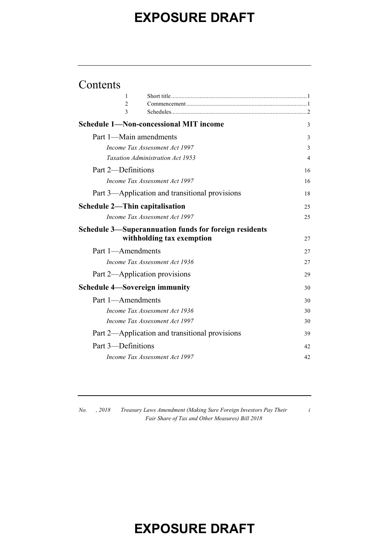#### Contents

| 1                  |                                                       |    |
|--------------------|-------------------------------------------------------|----|
| 2                  |                                                       |    |
| 3                  |                                                       |    |
|                    | <b>Schedule 1—Non-concessional MIT income</b>         | 3  |
|                    | Part 1—Main amendments                                | 3  |
|                    | Income Tax Assessment Act 1997                        | 3  |
|                    | Taxation Administration Act 1953                      | 4  |
| Part 2-Definitions |                                                       | 16 |
|                    | Income Tax Assessment Act 1997                        | 16 |
|                    | Part 3—Application and transitional provisions        | 18 |
|                    | <b>Schedule 2—Thin capitalisation</b>                 | 25 |
|                    | Income Tax Assessment Act 1997                        | 25 |
|                    | Schedule 3—Superannuation funds for foreign residents |    |
|                    | withholding tax exemption                             | 27 |
| Part 1-Amendments  |                                                       | 27 |
|                    | Income Tax Assessment Act 1936                        | 27 |
|                    | Part 2—Application provisions                         | 29 |
|                    | <b>Schedule 4—Sovereign immunity</b>                  | 30 |
| Part 1-Amendments  |                                                       | 30 |
|                    | Income Tax Assessment Act 1936                        | 30 |
|                    | Income Tax Assessment Act 1997                        | 30 |
|                    | Part 2—Application and transitional provisions        | 39 |
| Part 3—Definitions |                                                       | 42 |
|                    | Income Tax Assessment Act 1997                        | 42 |
|                    |                                                       |    |

*No. , 2018 Treasury Laws Amendment (Making Sure Foreign Investors Pay Their Fair Share of Tax and Other Measures) Bill 2018*

*i*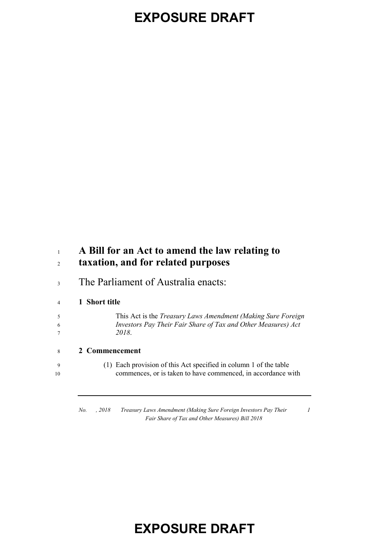#### **A Bill for an Act to amend the law relating to taxation, and for related purposes**

The Parliament of Australia enacts:

#### **1 Short title**

 This Act is the *Treasury Laws Amendment (Making Sure Foreign Investors Pay Their Fair Share of Tax and Other Measures) Act 2018*.

- **2 Commencement**
- (1) Each provision of this Act specified in column 1 of the table 10 commences, or is taken to have commenced, in accordance with

*No. , 2018 Treasury Laws Amendment (Making Sure Foreign Investors Pay Their Fair Share of Tax and Other Measures) Bill 2018*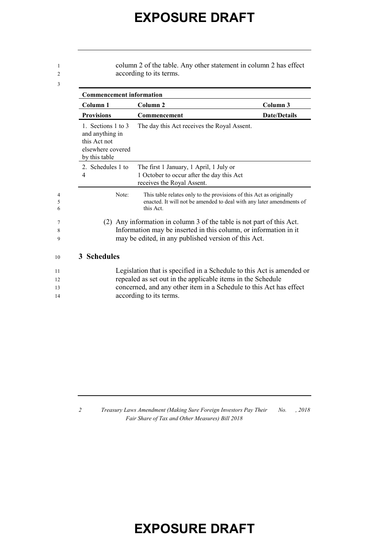| 1<br>2                   |                                                                                             | column 2 of the table. Any other statement in column 2 has effect<br>according to its terms.                                                                                                                                          |                     |
|--------------------------|---------------------------------------------------------------------------------------------|---------------------------------------------------------------------------------------------------------------------------------------------------------------------------------------------------------------------------------------|---------------------|
| 3                        | <b>Commencement information</b>                                                             |                                                                                                                                                                                                                                       |                     |
|                          | Column 1                                                                                    | Column 2                                                                                                                                                                                                                              | Column 3            |
|                          | <b>Provisions</b>                                                                           | Commencement                                                                                                                                                                                                                          | <b>Date/Details</b> |
|                          | 1. Sections 1 to 3<br>and anything in<br>this Act not<br>elsewhere covered<br>by this table | The day this Act receives the Royal Assent.                                                                                                                                                                                           |                     |
|                          | 2. Schedules 1 to<br>4                                                                      | The first 1 January, 1 April, 1 July or<br>1 October to occur after the day this Act<br>receives the Royal Assent.                                                                                                                    |                     |
| $\overline{4}$<br>5<br>6 | Note:                                                                                       | This table relates only to the provisions of this Act as originally<br>enacted. It will not be amended to deal with any later amendments of<br>this Act.                                                                              |                     |
| 7<br>8<br>9              |                                                                                             | (2) Any information in column 3 of the table is not part of this Act.<br>Information may be inserted in this column, or information in it<br>may be edited, in any published version of this Act.                                     |                     |
| 10                       | 3 Schedules                                                                                 |                                                                                                                                                                                                                                       |                     |
| 11<br>12<br>13<br>14     |                                                                                             | Legislation that is specified in a Schedule to this Act is amended or<br>repealed as set out in the applicable items in the Schedule<br>concerned, and any other item in a Schedule to this Act has effect<br>according to its terms. |                     |

*2 Treasury Laws Amendment (Making Sure Foreign Investors Pay Their Fair Share of Tax and Other Measures) Bill 2018 No. , 2018*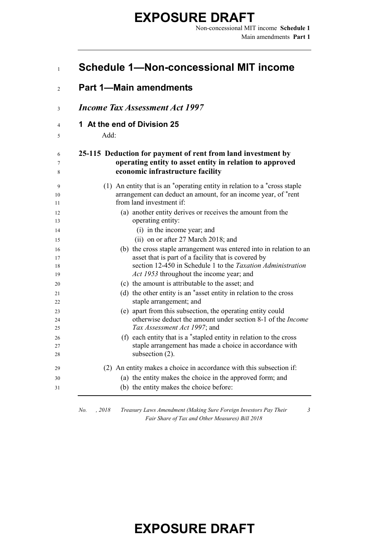|                                     | <b>Part 1-Main amendments</b>                                                                                                                                           |
|-------------------------------------|-------------------------------------------------------------------------------------------------------------------------------------------------------------------------|
|                                     | <b>Income Tax Assessment Act 1997</b>                                                                                                                                   |
| 1 At the end of Division 25<br>Add: |                                                                                                                                                                         |
|                                     | 25-115 Deduction for payment of rent from land investment by<br>operating entity to asset entity in relation to approved<br>economic infrastructure facility            |
|                                     | (1) An entity that is an *operating entity in relation to a *cross staple<br>arrangement can deduct an amount, for an income year, of *rent<br>from land investment if: |
|                                     | (a) another entity derives or receives the amount from the<br>operating entity:                                                                                         |
|                                     | (i) in the income year; and<br>(ii) on or after 27 March 2018; and                                                                                                      |
|                                     | (b) the cross staple arrangement was entered into in relation to an                                                                                                     |
|                                     | asset that is part of a facility that is covered by<br>section 12-450 in Schedule 1 to the Taxation Administration<br>Act 1953 throughout the income year; and          |
|                                     | (c) the amount is attributable to the asset; and                                                                                                                        |
|                                     | (d) the other entity is an *asset entity in relation to the cross<br>staple arrangement; and                                                                            |
|                                     | (e) apart from this subsection, the operating entity could<br>otherwise deduct the amount under section 8-1 of the <i>Income</i>                                        |
|                                     | Tax Assessment Act 1997; and                                                                                                                                            |
|                                     | (f) each entity that is a *stapled entity in relation to the cross<br>staple arrangement has made a choice in accordance with<br>subsection $(2)$ .                     |
|                                     | (2) An entity makes a choice in accordance with this subsection if:                                                                                                     |
|                                     | (a) the entity makes the choice in the approved form; and<br>(b) the entity makes the choice before:                                                                    |

*No. , 2018 Treasury Laws Amendment (Making Sure Foreign Investors Pay Their Fair Share of Tax and Other Measures) Bill 2018*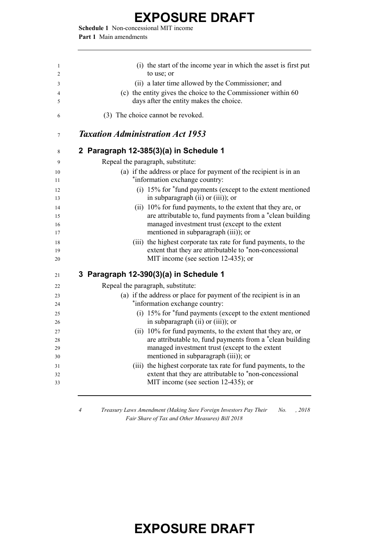**Schedule 1** Non-concessional MIT income **Part 1** Main amendments

| 1        | (i) the start of the income year in which the asset is first put                                                         |
|----------|--------------------------------------------------------------------------------------------------------------------------|
| 2        | to use; or                                                                                                               |
| 3        | (ii) a later time allowed by the Commissioner; and                                                                       |
| 4        | (c) the entity gives the choice to the Commissioner within 60                                                            |
| 5        | days after the entity makes the choice.                                                                                  |
| 6        | (3) The choice cannot be revoked.                                                                                        |
| 7        | <b>Taxation Administration Act 1953</b>                                                                                  |
| 8        | 2 Paragraph 12-385(3)(a) in Schedule 1                                                                                   |
| 9        | Repeal the paragraph, substitute:                                                                                        |
| 10       | (a) if the address or place for payment of the recipient is in an                                                        |
| 11       | *information exchange country:                                                                                           |
| 12       | (i) 15% for *fund payments (except to the extent mentioned                                                               |
| 13       | in subparagraph (ii) or (iii)); or                                                                                       |
| 14       | (ii) 10% for fund payments, to the extent that they are, or                                                              |
| 15       | are attributable to, fund payments from a *clean building<br>managed investment trust (except to the extent              |
| 16<br>17 | mentioned in subparagraph (iii)); or                                                                                     |
| 18       | (iii) the highest corporate tax rate for fund payments, to the                                                           |
| 19       | extent that they are attributable to *non-concessional                                                                   |
| 20       | MIT income (see section 12-435); or                                                                                      |
| 21       | 3 Paragraph 12-390(3)(a) in Schedule 1                                                                                   |
| 22       | Repeal the paragraph, substitute:                                                                                        |
| 23       | (a) if the address or place for payment of the recipient is in an                                                        |
| 24       | *information exchange country:                                                                                           |
| 25       | (i) 15% for *fund payments (except to the extent mentioned                                                               |
| 26       | in subparagraph (ii) or (iii)); or                                                                                       |
| 27       | (ii) 10% for fund payments, to the extent that they are, or                                                              |
| 28       | are attributable to, fund payments from a *clean building                                                                |
| 29       | managed investment trust (except to the extent<br>mentioned in subparagraph (iii)); or                                   |
| 30       |                                                                                                                          |
| 31<br>32 | (iii) the highest corporate tax rate for fund payments, to the<br>extent that they are attributable to *non-concessional |
| 33       | MIT income (see section 12-435); or                                                                                      |
|          |                                                                                                                          |
|          |                                                                                                                          |

*4 Treasury Laws Amendment (Making Sure Foreign Investors Pay Their No. , 2018 Fair Share of Tax and Other Measures) Bill 2018*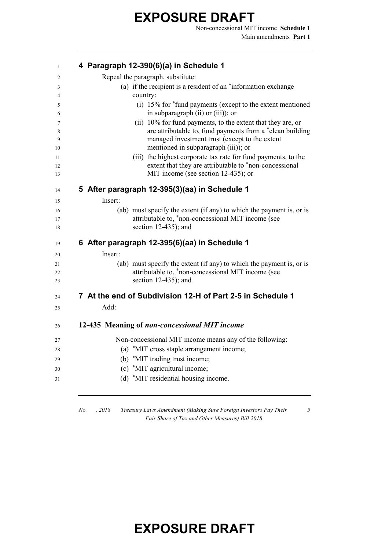Non-concessional MIT income **Schedule 1** Main amendments **Part 1**

| $\mathbf{1}$      | 4 Paragraph 12-390(6)(a) in Schedule 1                                                                                                                                                                             |
|-------------------|--------------------------------------------------------------------------------------------------------------------------------------------------------------------------------------------------------------------|
| 2                 | Repeal the paragraph, substitute:                                                                                                                                                                                  |
| 3                 | (a) if the recipient is a resident of an "information exchange"                                                                                                                                                    |
| 4                 | country:                                                                                                                                                                                                           |
| 5<br>6            | $(i)$ 15% for $*$ fund payments (except to the extent mentioned<br>in subparagraph (ii) or (iii)); or                                                                                                              |
| 7<br>8<br>9<br>10 | (ii) 10% for fund payments, to the extent that they are, or<br>are attributable to, fund payments from a *clean building<br>managed investment trust (except to the extent<br>mentioned in subparagraph (iii)); or |
| 11<br>12<br>13    | (iii) the highest corporate tax rate for fund payments, to the<br>extent that they are attributable to *non-concessional<br>MIT income (see section 12-435); or                                                    |
| 14                | 5 After paragraph 12-395(3)(aa) in Schedule 1                                                                                                                                                                      |
| 15                | Insert:                                                                                                                                                                                                            |
| 16                | (ab) must specify the extent (if any) to which the payment is, or is                                                                                                                                               |
| 17<br>18          | attributable to, *non-concessional MIT income (see<br>section $12-435$ ; and                                                                                                                                       |
| 19                | 6 After paragraph 12-395(6)(aa) in Schedule 1                                                                                                                                                                      |
| 20                | Insert:                                                                                                                                                                                                            |
| 21                | (ab) must specify the extent (if any) to which the payment is, or is                                                                                                                                               |
| 22                | attributable to, *non-concessional MIT income (see                                                                                                                                                                 |
| 23                | section $12-435$ ; and                                                                                                                                                                                             |
| 24                | 7 At the end of Subdivision 12-H of Part 2-5 in Schedule 1                                                                                                                                                         |
| 25                | Add:                                                                                                                                                                                                               |
| 26                | 12-435 Meaning of non-concessional MIT income                                                                                                                                                                      |
| 27                | Non-concessional MIT income means any of the following:                                                                                                                                                            |
| 28                | (a) *MIT cross staple arrangement income;                                                                                                                                                                          |
| 29                | (b) *MIT trading trust income;                                                                                                                                                                                     |
| 30                | (c) *MIT agricultural income;                                                                                                                                                                                      |
| 31                | (d) *MIT residential housing income.                                                                                                                                                                               |
|                   |                                                                                                                                                                                                                    |

*No. , 2018 Treasury Laws Amendment (Making Sure Foreign Investors Pay Their Fair Share of Tax and Other Measures) Bill 2018*

*5*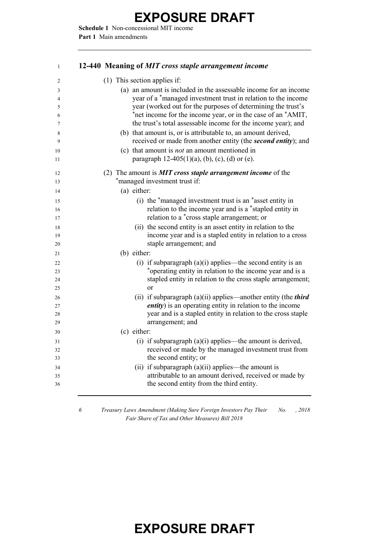**Schedule 1** Non-concessional MIT income **Part 1** Main amendments

| $\mathbf{1}$   | 12-440 Meaning of MIT cross staple arrangement income                                                                |
|----------------|----------------------------------------------------------------------------------------------------------------------|
| $\overline{2}$ | (1) This section applies if:                                                                                         |
| 3              | (a) an amount is included in the assessable income for an income                                                     |
| 4              | year of a *managed investment trust in relation to the income                                                        |
| 5              | year (worked out for the purposes of determining the trust's                                                         |
| 6              | *net income for the income year, or in the case of an *AMIT,                                                         |
| 7              | the trust's total assessable income for the income year); and                                                        |
| 8              | (b) that amount is, or is attributable to, an amount derived,                                                        |
|                | received or made from another entity (the second entity); and                                                        |
| 10             | (c) that amount is <i>not</i> an amount mentioned in                                                                 |
|                | paragraph $12-405(1)(a)$ , (b), (c), (d) or (e).                                                                     |
| 12             | (2) The amount is <b>MIT</b> cross staple arrangement income of the                                                  |
| 13             | *managed investment trust if:                                                                                        |
| 14             | (a) either:                                                                                                          |
| 15             | (i) the *managed investment trust is an *asset entity in                                                             |
| 16             | relation to the income year and is a *stapled entity in                                                              |
| 17             | relation to a *cross staple arrangement; or                                                                          |
| 18             | (ii) the second entity is an asset entity in relation to the                                                         |
| 19             | income year and is a stapled entity in relation to a cross                                                           |
| 20             | staple arrangement; and                                                                                              |
| 21             | (b) either:                                                                                                          |
| 22             | (i) if subparagraph $(a)(i)$ applies—the second entity is an                                                         |
| 23             | *operating entity in relation to the income year and is a                                                            |
| 24             | stapled entity in relation to the cross staple arrangement;                                                          |
| 25             | or                                                                                                                   |
| 26             | (ii) if subparagraph $(a)(ii)$ applies—another entity (the <i>third</i>                                              |
| 27<br>28       | <i>entity</i> ) is an operating entity in relation to the income                                                     |
|                | year and is a stapled entity in relation to the cross staple<br>arrangement; and                                     |
| 29             | (c) either:                                                                                                          |
| 30             |                                                                                                                      |
| 31<br>32       | (i) if subparagraph $(a)(i)$ applies—the amount is derived,<br>received or made by the managed investment trust from |
| 33             | the second entity; or                                                                                                |
| 34             | (ii) if subparagraph $(a)(ii)$ applies—the amount is                                                                 |
| 35             | attributable to an amount derived, received or made by                                                               |
| 36             | the second entity from the third entity.                                                                             |
|                |                                                                                                                      |
|                |                                                                                                                      |

 *Treasury Laws Amendment (Making Sure Foreign Investors Pay Their No. , 2018 Fair Share of Tax and Other Measures) Bill 2018*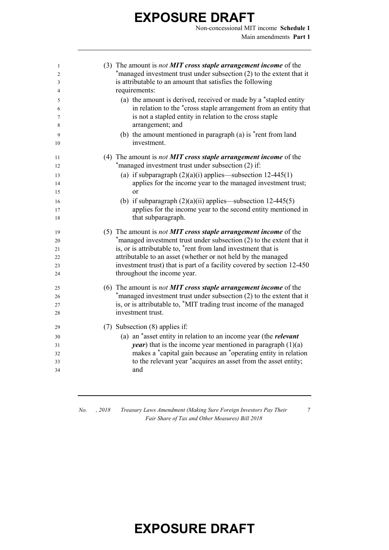Non-concessional MIT income **Schedule 1** Main amendments **Part 1**

| 1  | (3) The amount is <i>not <b>MIT</b></i> cross staple arrangement income of the |
|----|--------------------------------------------------------------------------------|
| 2  | *managed investment trust under subsection (2) to the extent that it           |
| 3  | is attributable to an amount that satisfies the following                      |
| 4  | requirements:                                                                  |
| 5  | (a) the amount is derived, received or made by a *stapled entity               |
| 6  | in relation to the *cross staple arrangement from an entity that               |
| 7  | is not a stapled entity in relation to the cross staple                        |
| 8  | arrangement; and                                                               |
| 9  | (b) the amount mentioned in paragraph (a) is $*$ rent from land                |
| 10 | investment.                                                                    |
| 11 | (4) The amount is <i>not <b>MIT</b></i> cross staple arrangement income of the |
| 12 | *managed investment trust under subsection (2) if:                             |
| 13 | (a) if subparagraph $(2)(a)(i)$ applies—subsection 12-445(1)                   |
| 14 | applies for the income year to the managed investment trust;                   |
| 15 | $\alpha$                                                                       |
| 16 | (b) if subparagraph $(2)(a)(ii)$ applies—subsection 12-445(5)                  |
| 17 | applies for the income year to the second entity mentioned in                  |
| 18 | that subparagraph.                                                             |
| 19 | (5) The amount is <i>not MIT cross staple arrangement income</i> of the        |
| 20 | *managed investment trust under subsection (2) to the extent that it           |
| 21 | is, or is attributable to, *rent from land investment that is                  |
| 22 | attributable to an asset (whether or not held by the managed                   |
| 23 | investment trust) that is part of a facility covered by section 12-450         |
| 24 | throughout the income year.                                                    |
| 25 | (6) The amount is <i>not <b>MIT</b></i> cross staple arrangement income of the |
| 26 | *managed investment trust under subsection (2) to the extent that it           |
| 27 | is, or is attributable to, *MIT trading trust income of the managed            |
| 28 | investment trust.                                                              |
| 29 | (7) Subsection (8) applies if:                                                 |
| 30 | (a) an *asset entity in relation to an income year (the <i>relevant</i>        |
| 31 | <i>year</i> ) that is the income year mentioned in paragraph $(1)(a)$          |
| 32 | makes a *capital gain because an *operating entity in relation                 |
| 33 | to the relevant year *acquires an asset from the asset entity;                 |
| 34 | and                                                                            |

*7*

*No. , 2018 Treasury Laws Amendment (Making Sure Foreign Investors Pay Their Fair Share of Tax and Other Measures) Bill 2018*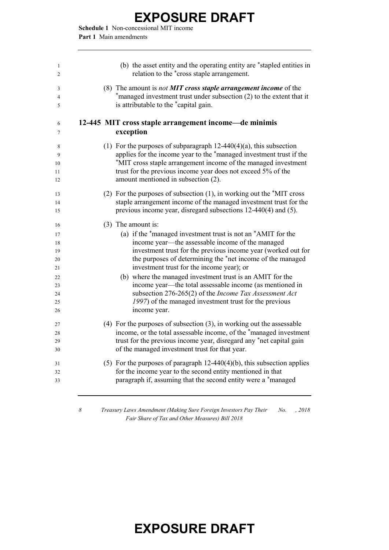**Schedule 1** Non-concessional MIT income **Part 1** Main amendments

| 1<br>2   | (b) the asset entity and the operating entity are *stapled entities in<br>relation to the *cross staple arrangement.                |
|----------|-------------------------------------------------------------------------------------------------------------------------------------|
| 3        | (8) The amount is <i>not MIT cross staple arrangement income</i> of the                                                             |
| 4<br>5   | *managed investment trust under subsection (2) to the extent that it<br>is attributable to the *capital gain.                       |
| 6<br>7   | 12-445 MIT cross staple arrangement income-de minimis<br>exception                                                                  |
| 8        | (1) For the purposes of subparagraph $12-440(4)(a)$ , this subsection                                                               |
| 9        | applies for the income year to the *managed investment trust if the                                                                 |
| 10<br>11 | *MIT cross staple arrangement income of the managed investment<br>trust for the previous income year does not exceed 5% of the      |
| 12       | amount mentioned in subsection (2).                                                                                                 |
| 13       | (2) For the purposes of subsection $(1)$ , in working out the $*$ MIT cross                                                         |
| 14<br>15 | staple arrangement income of the managed investment trust for the<br>previous income year, disregard subsections 12-440(4) and (5). |
| 16       | $(3)$ The amount is:                                                                                                                |
| 17       | (a) if the *managed investment trust is not an *AMIT for the                                                                        |
| 18<br>19 | income year—the assessable income of the managed<br>investment trust for the previous income year (worked out for                   |
| 20       | the purposes of determining the *net income of the managed                                                                          |
| 21       | investment trust for the income year); or                                                                                           |
| 22<br>23 | (b) where the managed investment trust is an AMIT for the<br>income year—the total assessable income (as mentioned in               |
| 24       | subsection 276-265(2) of the Income Tax Assessment Act                                                                              |
| 25       | 1997) of the managed investment trust for the previous                                                                              |
| 26       | income year.                                                                                                                        |
| 27       | $(4)$ For the purposes of subsection $(3)$ , in working out the assessable                                                          |
| 28       | income, or the total assessable income, of the *managed investment                                                                  |
| 29<br>30 | trust for the previous income year, disregard any *net capital gain<br>of the managed investment trust for that year.               |
| 31       | (5) For the purposes of paragraph $12-440(4)(b)$ , this subsection applies                                                          |
| 32       | for the income year to the second entity mentioned in that                                                                          |
| 33       | paragraph if, assuming that the second entity were a *managed                                                                       |
|          |                                                                                                                                     |

*8 Treasury Laws Amendment (Making Sure Foreign Investors Pay Their No. , 2018 Fair Share of Tax and Other Measures) Bill 2018*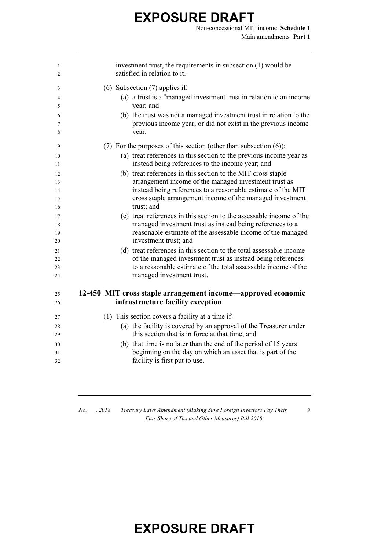Non-concessional MIT income **Schedule 1** Main amendments **Part 1**

| 1<br>$\overline{2}$ | investment trust, the requirements in subsection (1) would be<br>satisfied in relation to it. |
|---------------------|-----------------------------------------------------------------------------------------------|
| 3                   | $(6)$ Subsection $(7)$ applies if:                                                            |
| 4                   | (a) a trust is a *managed investment trust in relation to an income                           |
| 5                   | year; and                                                                                     |
| 6                   | (b) the trust was not a managed investment trust in relation to the                           |
| 7                   | previous income year, or did not exist in the previous income                                 |
| 8                   | year.                                                                                         |
| 9                   | (7) For the purposes of this section (other than subsection $(6)$ ):                          |
| 10                  | (a) treat references in this section to the previous income year as                           |
| 11                  | instead being references to the income year; and                                              |
| 12                  | (b) treat references in this section to the MIT cross staple                                  |
| 13                  | arrangement income of the managed investment trust as                                         |
| 14                  | instead being references to a reasonable estimate of the MIT                                  |
| 15                  | cross staple arrangement income of the managed investment                                     |
| 16                  | trust; and                                                                                    |
| 17                  | (c) treat references in this section to the assessable income of the                          |
| 18                  | managed investment trust as instead being references to a                                     |
| 19                  | reasonable estimate of the assessable income of the managed<br>investment trust; and          |
| 20                  | (d) treat references in this section to the total assessable income                           |
| 21<br>22            | of the managed investment trust as instead being references                                   |
| 23                  | to a reasonable estimate of the total assessable income of the                                |
| 24                  | managed investment trust.                                                                     |
| 25                  | 12-450 MIT cross staple arrangement income—approved economic                                  |
| 26                  | infrastructure facility exception                                                             |
|                     |                                                                                               |
| 27                  | (1) This section covers a facility at a time if:                                              |
| 28                  | (a) the facility is covered by an approval of the Treasurer under                             |
| 29                  | this section that is in force at that time; and                                               |
| 30                  | (b) that time is no later than the end of the period of 15 years                              |
| 31                  | beginning on the day on which an asset that is part of the                                    |
| 32                  | facility is first put to use.                                                                 |
|                     |                                                                                               |

*No. , 2018 Treasury Laws Amendment (Making Sure Foreign Investors Pay Their Fair Share of Tax and Other Measures) Bill 2018*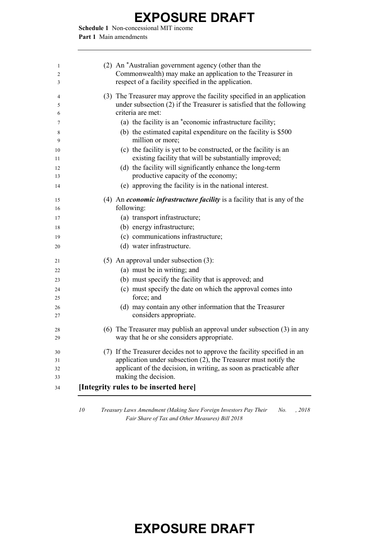**Schedule 1** Non-concessional MIT income **Part 1** Main amendments

| (2) An *Australian government agency (other than the<br>Commonwealth) may make an application to the Treasurer in<br>respect of a facility specified in the application.                                                                      |
|-----------------------------------------------------------------------------------------------------------------------------------------------------------------------------------------------------------------------------------------------|
| (3) The Treasurer may approve the facility specified in an application<br>under subsection (2) if the Treasurer is satisfied that the following<br>criteria are met:                                                                          |
| (a) the facility is an *economic infrastructure facility;                                                                                                                                                                                     |
| (b) the estimated capital expenditure on the facility is \$500<br>million or more;                                                                                                                                                            |
| (c) the facility is yet to be constructed, or the facility is an<br>existing facility that will be substantially improved;                                                                                                                    |
| (d) the facility will significantly enhance the long-term<br>productive capacity of the economy;                                                                                                                                              |
| (e) approving the facility is in the national interest.                                                                                                                                                                                       |
| (4) An <i>economic infrastructure facility</i> is a facility that is any of the                                                                                                                                                               |
| following:                                                                                                                                                                                                                                    |
| (a) transport infrastructure;                                                                                                                                                                                                                 |
| (b) energy infrastructure;<br>(c) communications infrastructure;                                                                                                                                                                              |
| (d) water infrastructure.                                                                                                                                                                                                                     |
|                                                                                                                                                                                                                                               |
| $(5)$ An approval under subsection $(3)$ :                                                                                                                                                                                                    |
| (a) must be in writing; and                                                                                                                                                                                                                   |
| (b) must specify the facility that is approved; and<br>(c) must specify the date on which the approval comes into<br>force; and                                                                                                               |
| (d) may contain any other information that the Treasurer<br>considers appropriate.                                                                                                                                                            |
| (6) The Treasurer may publish an approval under subsection (3) in any<br>way that he or she considers appropriate.                                                                                                                            |
| (7) If the Treasurer decides not to approve the facility specified in an<br>application under subsection $(2)$ , the Treasurer must notify the<br>applicant of the decision, in writing, as soon as practicable after<br>making the decision. |
| [Integrity rules to be inserted here]                                                                                                                                                                                                         |

 *Treasury Laws Amendment (Making Sure Foreign Investors Pay Their No. , 2018 Fair Share of Tax and Other Measures) Bill 2018*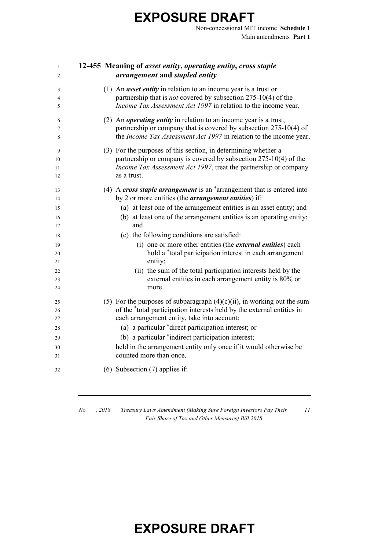Non-concessional MIT income **Schedule 1** Main amendments **Part 1**

#### **12-455 Meaning of** *asset entity***,** *operating entity***,** *cross staple arrangement* **and** *stapled entity*

| 3<br>4<br>5         | (1) An <i>asset entity</i> in relation to an income year is a trust or<br>partnership that is <i>not</i> covered by subsection 275-10(4) of the<br>Income Tax Assessment Act 1997 in relation to the income year.          |
|---------------------|----------------------------------------------------------------------------------------------------------------------------------------------------------------------------------------------------------------------------|
| 6<br>7<br>8         | (2) An <i>operating entity</i> in relation to an income year is a trust,<br>partnership or company that is covered by subsection 275-10(4) of<br>the <i>Income Tax Assessment Act 1997</i> in relation to the income year. |
| 9<br>10<br>11<br>12 | (3) For the purposes of this section, in determining whether a<br>partnership or company is covered by subsection 275-10(4) of the<br>Income Tax Assessment Act 1997, treat the partnership or company<br>as a trust.      |
| 13<br>14            | (4) A cross staple arrangement is an $*$ arrangement that is entered into<br>by 2 or more entities (the <i>arrangement entities</i> ) if:                                                                                  |
| 15                  | (a) at least one of the arrangement entities is an asset entity; and                                                                                                                                                       |
| 16                  | (b) at least one of the arrangement entities is an operating entity;                                                                                                                                                       |
| 17                  | and                                                                                                                                                                                                                        |
| 18                  | (c) the following conditions are satisfied:                                                                                                                                                                                |
| 19                  | (i) one or more other entities (the <i>external entities</i> ) each                                                                                                                                                        |
| 20                  | hold a *total participation interest in each arrangement                                                                                                                                                                   |
| 21                  | entity;                                                                                                                                                                                                                    |
| 22                  | (ii) the sum of the total participation interests held by the                                                                                                                                                              |
| 23<br>24            | external entities in each arrangement entity is 80% or<br>more.                                                                                                                                                            |
| 25                  | (5) For the purposes of subparagraph $(4)(c)(ii)$ , in working out the sum                                                                                                                                                 |
| 26                  | of the *total participation interests held by the external entities in                                                                                                                                                     |
| 27                  | each arrangement entity, take into account:                                                                                                                                                                                |
| 28                  | (a) a particular *direct participation interest; or                                                                                                                                                                        |
| 29                  | (b) a particular *indirect participation interest;                                                                                                                                                                         |
| 30                  | held in the arrangement entity only once if it would otherwise be                                                                                                                                                          |
| 31                  | counted more than once.                                                                                                                                                                                                    |
| 32                  | $(6)$ Subsection $(7)$ applies if:                                                                                                                                                                                         |

*No. , 2018 Treasury Laws Amendment (Making Sure Foreign Investors Pay Their Fair Share of Tax and Other Measures) Bill 2018*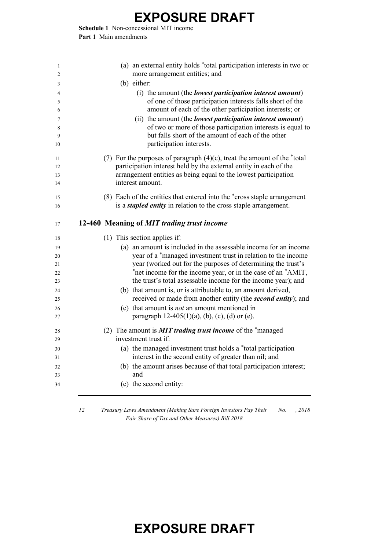**Schedule 1** Non-concessional MIT income **Part 1** Main amendments

| 1<br>2 | (a) an external entity holds *total participation interests in two or<br>more arrangement entities; and |
|--------|---------------------------------------------------------------------------------------------------------|
| 3      | (b) either:                                                                                             |
| 4      | (i) the amount (the <i>lowest participation interest amount</i> )                                       |
| 5      | of one of those participation interests falls short of the                                              |
| 6      | amount of each of the other participation interests; or                                                 |
| 7      | (ii) the amount (the <i>lowest participation interest amount</i> )                                      |
| 8      | of two or more of those participation interests is equal to                                             |
| 9      | but falls short of the amount of each of the other                                                      |
| 10     | participation interests.                                                                                |
| 11     | (7) For the purposes of paragraph $(4)(c)$ , treat the amount of the *total                             |
| 12     | participation interest held by the external entity in each of the                                       |
| 13     | arrangement entities as being equal to the lowest participation                                         |
| 14     | interest amount.                                                                                        |
| 15     | (8) Each of the entities that entered into the *cross staple arrangement                                |
| 16     | is a <i>stapled entity</i> in relation to the cross staple arrangement.                                 |
|        |                                                                                                         |
| 17     | 12-460 Meaning of MIT trading trust income                                                              |
|        |                                                                                                         |
| 18     | (1) This section applies if:                                                                            |
| 19     | (a) an amount is included in the assessable income for an income                                        |
| 20     | year of a *managed investment trust in relation to the income                                           |
| 21     | year (worked out for the purposes of determining the trust's                                            |
| 22     | *net income for the income year, or in the case of an *AMIT,                                            |
| 23     | the trust's total assessable income for the income year); and                                           |
| 24     | (b) that amount is, or is attributable to, an amount derived,                                           |
| 25     | received or made from another entity (the second entity); and                                           |
| 26     | (c) that amount is <i>not</i> an amount mentioned in                                                    |
| 27     | paragraph $12-405(1)(a)$ , (b), (c), (d) or (e).                                                        |
| 28     | (2) The amount is <b>MIT trading trust income</b> of the *managed                                       |
| 29     | investment trust if:                                                                                    |
| 30     | (a) the managed investment trust holds a *total participation                                           |
| 31     | interest in the second entity of greater than nil; and                                                  |
| 32     | (b) the amount arises because of that total participation interest;                                     |
| 33     | and                                                                                                     |
| 34     | (c) the second entity:                                                                                  |

 *Treasury Laws Amendment (Making Sure Foreign Investors Pay Their No. , 2018 Fair Share of Tax and Other Measures) Bill 2018*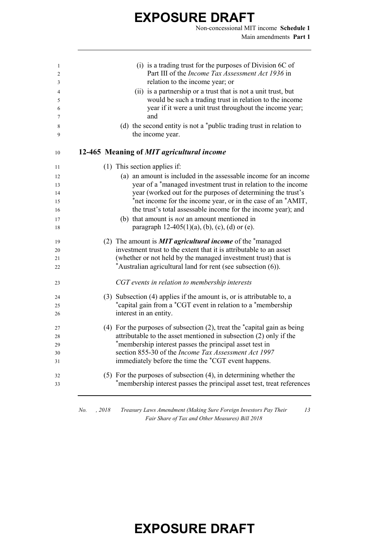Non-concessional MIT income **Schedule 1** Main amendments **Part 1**

| 1<br>2   | (i) is a trading trust for the purposes of Division 6C of<br>Part III of the Income Tax Assessment Act 1936 in                                    |
|----------|---------------------------------------------------------------------------------------------------------------------------------------------------|
| 3        | relation to the income year; or                                                                                                                   |
| 4<br>5   | (ii) is a partnership or a trust that is not a unit trust, but<br>would be such a trading trust in relation to the income                         |
| 6        | year if it were a unit trust throughout the income year;                                                                                          |
| 7        | and                                                                                                                                               |
| 8<br>9   | (d) the second entity is not a *public trading trust in relation to<br>the income year.                                                           |
| 10       | 12-465 Meaning of MIT agricultural income                                                                                                         |
| 11       | (1) This section applies if:                                                                                                                      |
| 12       | (a) an amount is included in the assessable income for an income                                                                                  |
| 13       | year of a *managed investment trust in relation to the income                                                                                     |
| 14       | year (worked out for the purposes of determining the trust's                                                                                      |
| 15       | *net income for the income year, or in the case of an *AMIT,                                                                                      |
| 16       | the trust's total assessable income for the income year); and                                                                                     |
| 17       | (b) that amount is <i>not</i> an amount mentioned in                                                                                              |
| 18       | paragraph $12-405(1)(a)$ , (b), (c), (d) or (e).                                                                                                  |
| 19       | (2) The amount is <b>MIT</b> agricultural income of the $*$ managed                                                                               |
| 20       | investment trust to the extent that it is attributable to an asset                                                                                |
| 21       | (whether or not held by the managed investment trust) that is                                                                                     |
| 22       | *Australian agricultural land for rent (see subsection (6)).                                                                                      |
| 23       | CGT events in relation to membership interests                                                                                                    |
| 24       | (3) Subsection (4) applies if the amount is, or is attributable to, a                                                                             |
| 25       | *capital gain from a *CGT event in relation to a *membership                                                                                      |
| 26       | interest in an entity.                                                                                                                            |
| 27       | (4) For the purposes of subsection (2), treat the *capital gain as being                                                                          |
| 28       | attributable to the asset mentioned in subsection (2) only if the                                                                                 |
| 29       | *membership interest passes the principal asset test in                                                                                           |
| 30       | section 855-30 of the Income Tax Assessment Act 1997                                                                                              |
| 31       | immediately before the time the *CGT event happens.                                                                                               |
| 32<br>33 | $(5)$ For the purposes of subsection $(4)$ , in determining whether the<br>*membership interest passes the principal asset test, treat references |
|          |                                                                                                                                                   |

*No. , 2018 Treasury Laws Amendment (Making Sure Foreign Investors Pay Their Fair Share of Tax and Other Measures) Bill 2018*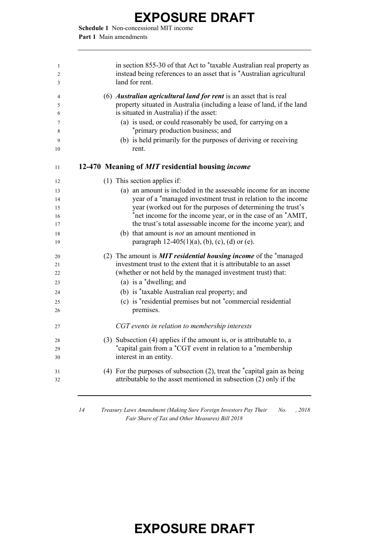**Schedule 1** Non-concessional MIT income **Part 1** Main amendments

| 1<br>2<br>3 | in section 855-30 of that Act to *taxable Australian real property as<br>instead being references to an asset that is *Australian agricultural<br>land for rent.                               |
|-------------|------------------------------------------------------------------------------------------------------------------------------------------------------------------------------------------------|
| 4<br>5<br>6 | (6) <i>Australian agricultural land for rent</i> is an asset that is real<br>property situated in Australia (including a lease of land, if the land<br>is situated in Australia) if the asset: |
| 7           | (a) is used, or could reasonably be used, for carrying on a                                                                                                                                    |
| 8           | *primary production business; and                                                                                                                                                              |
| 9<br>10     | (b) is held primarily for the purposes of deriving or receiving<br>rent.                                                                                                                       |
| 11          | 12-470 Meaning of MIT residential housing income                                                                                                                                               |
| 12          | (1) This section applies if:                                                                                                                                                                   |
| 13          | (a) an amount is included in the assessable income for an income                                                                                                                               |
| 14          | year of a *managed investment trust in relation to the income                                                                                                                                  |
| 15          | year (worked out for the purposes of determining the trust's                                                                                                                                   |
| 16          | *net income for the income year, or in the case of an *AMIT,                                                                                                                                   |
| 17          | the trust's total assessable income for the income year); and                                                                                                                                  |
| 18<br>19    | (b) that amount is <i>not</i> an amount mentioned in<br>paragraph $12-405(1)(a)$ , (b), (c), (d) or (e).                                                                                       |
| 20          | (2) The amount is <b>MIT residential housing income</b> of the *managed                                                                                                                        |
| 21          | investment trust to the extent that it is attributable to an asset                                                                                                                             |
| 22          | (whether or not held by the managed investment trust) that:                                                                                                                                    |
| 23          | (a) is a $*$ dwelling; and                                                                                                                                                                     |
| 24          | (b) is *taxable Australian real property; and                                                                                                                                                  |
| 25          | (c) is *residential premises but not *commercial residential                                                                                                                                   |
| 26          | premises.                                                                                                                                                                                      |
| 27          | CGT events in relation to membership interests                                                                                                                                                 |
| 28          | (3) Subsection (4) applies if the amount is, or is attributable to, a                                                                                                                          |
| 29          | *capital gain from a *CGT event in relation to a *membership                                                                                                                                   |
| 30          | interest in an entity.                                                                                                                                                                         |
| 31<br>32    | (4) For the purposes of subsection $(2)$ , treat the $*$ capital gain as being<br>attributable to the asset mentioned in subsection (2) only if the                                            |
|             |                                                                                                                                                                                                |

*14 Treasury Laws Amendment (Making Sure Foreign Investors Pay Their No. , 2018 Fair Share of Tax and Other Measures) Bill 2018*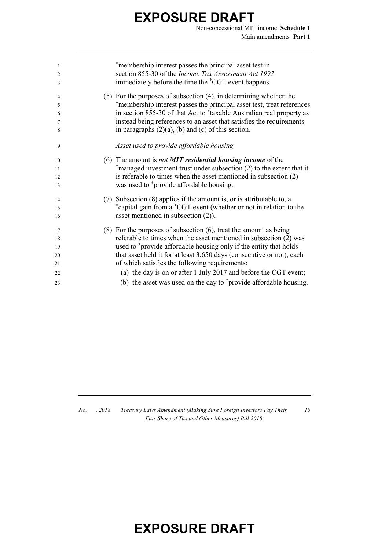Non-concessional MIT income **Schedule 1** Main amendments **Part 1**

| 1<br>$\overline{2}$ | *membership interest passes the principal asset test in<br>section 855-30 of the Income Tax Assessment Act 1997 |
|---------------------|-----------------------------------------------------------------------------------------------------------------|
| 3                   | immediately before the time the *CGT event happens.                                                             |
| 4                   | $(5)$ For the purposes of subsection $(4)$ , in determining whether the                                         |
| 5                   | *membership interest passes the principal asset test, treat references                                          |
| 6                   | in section 855-30 of that Act to *taxable Australian real property as                                           |
| 7                   | instead being references to an asset that satisfies the requirements                                            |
| 8                   | in paragraphs $(2)(a)$ , (b) and (c) of this section.                                                           |
| 9                   | Asset used to provide affordable housing                                                                        |
| 10                  | (6) The amount is not <b>MIT</b> residential housing income of the                                              |
| 11                  | *managed investment trust under subsection (2) to the extent that it                                            |
| 12                  | is referable to times when the asset mentioned in subsection (2)                                                |
| 13                  | was used to *provide affordable housing.                                                                        |
| 14                  | (7) Subsection (8) applies if the amount is, or is attributable to, a                                           |
| 15                  | *capital gain from a *CGT event (whether or not in relation to the                                              |
| 16                  | asset mentioned in subsection $(2)$ ).                                                                          |
| 17                  | $(8)$ For the purposes of subsection $(6)$ , treat the amount as being                                          |
| 18                  | referable to times when the asset mentioned in subsection (2) was                                               |
| 19                  | used to *provide affordable housing only if the entity that holds                                               |
| 20                  | that asset held it for at least 3,650 days (consecutive or not), each                                           |
| 21                  | of which satisfies the following requirements:                                                                  |
| 22                  | (a) the day is on or after 1 July 2017 and before the CGT event;                                                |
| 23                  | (b) the asset was used on the day to *provide affordable housing.                                               |
|                     |                                                                                                                 |

*No. , 2018 Treasury Laws Amendment (Making Sure Foreign Investors Pay Their Fair Share of Tax and Other Measures) Bill 2018*

*15*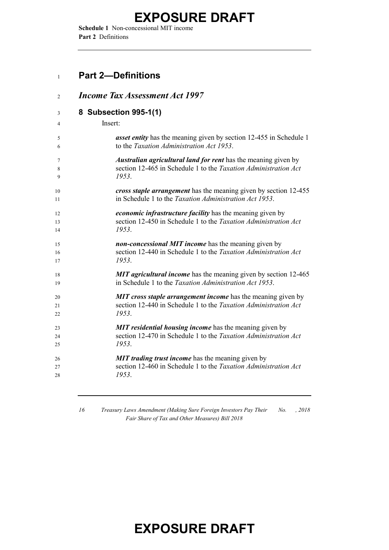**Schedule 1** Non-concessional MIT income **Part 2** Definitions

#### **Part 2—Definitions**

| $\overline{2}$ | <b>Income Tax Assessment Act 1997</b>                                     |
|----------------|---------------------------------------------------------------------------|
| 3              | 8 Subsection 995-1(1)                                                     |
| 4              | Insert:                                                                   |
| 5              | <i>asset entity</i> has the meaning given by section 12-455 in Schedule 1 |
| 6              | to the Taxation Administration Act 1953.                                  |
| 7              | Australian agricultural land for rent has the meaning given by            |
| 8              | section 12-465 in Schedule 1 to the Taxation Administration Act           |
| 9              | 1953.                                                                     |
| 10             | cross staple arrangement has the meaning given by section 12-455          |
| 11             | in Schedule 1 to the <i>Taxation Administration Act 1953</i> .            |
| 12             | <i>economic infrastructure facility</i> has the meaning given by          |
| 13             | section 12-450 in Schedule 1 to the Taxation Administration Act           |
| 14             | 1953.                                                                     |
| 15             | non-concessional MIT income has the meaning given by                      |
| 16             | section 12-440 in Schedule 1 to the Taxation Administration Act           |
| 17             | 1953.                                                                     |
| 18             | <b>MIT agricultural income</b> has the meaning given by section 12-465    |
| 19             | in Schedule 1 to the <i>Taxation Administration Act 1953</i> .            |
| 20             | <b>MIT</b> cross staple arrangement income has the meaning given by       |
| 21             | section 12-440 in Schedule 1 to the Taxation Administration Act           |
| 22             | 1953.                                                                     |
| 23             | MIT residential housing income has the meaning given by                   |
| 24             | section 12-470 in Schedule 1 to the Taxation Administration Act           |
| 25             | 1953.                                                                     |
| 26             | <b>MIT trading trust income</b> has the meaning given by                  |
| 27             | section 12-460 in Schedule 1 to the Taxation Administration Act           |
| 28             | 1953.                                                                     |

 *Treasury Laws Amendment (Making Sure Foreign Investors Pay Their Fair Share of Tax and Other Measures) Bill 2018 No. , 2018*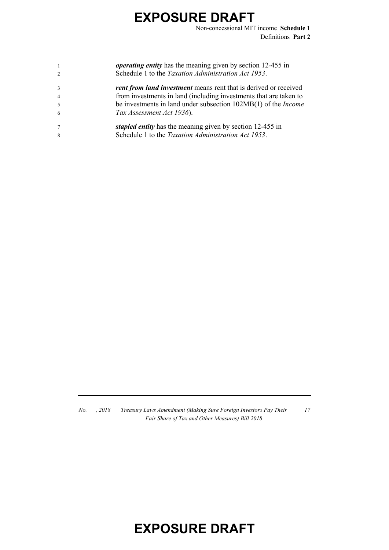|                | <i>operating entity</i> has the meaning given by section 12-455 in      |
|----------------|-------------------------------------------------------------------------|
| $\mathcal{D}$  | Schedule 1 to the Taxation Administration Act 1953.                     |
| $\mathcal{R}$  | <b>rent from land investment</b> means rent that is derived or received |
| $\overline{4}$ | from investments in land (including investments that are taken to       |
| $\sim$         | be investments in land under subsection 102MB(1) of the <i>Income</i>   |
| -6             | Tax Assessment Act 1936).                                               |
|                | stapled entity has the meaning given by section 12-455 in               |
| 8              | Schedule 1 to the Taxation Administration Act 1953.                     |

*No. , 2018 Treasury Laws Amendment (Making Sure Foreign Investors Pay Their Fair Share of Tax and Other Measures) Bill 2018*

#### *17*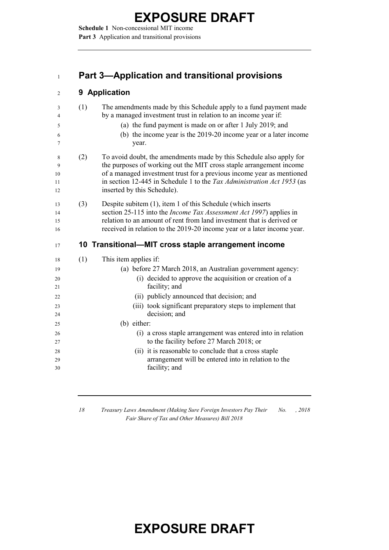**Schedule 1** Non-concessional MIT income Part 3 Application and transitional provisions

#### **Part 3—Application and transitional provisions**

#### **9 Application**

| 3  | (1) | The amendments made by this Schedule apply to a fund payment made          |
|----|-----|----------------------------------------------------------------------------|
| 4  |     | by a managed investment trust in relation to an income year if:            |
| 5  |     | (a) the fund payment is made on or after 1 July 2019; and                  |
| 6  |     | (b) the income year is the 2019-20 income year or a later income           |
| 7  |     | year.                                                                      |
| 8  | (2) | To avoid doubt, the amendments made by this Schedule also apply for        |
| 9  |     | the purposes of working out the MIT cross staple arrangement income        |
| 10 |     | of a managed investment trust for a previous income year as mentioned      |
| 11 |     | in section 12-445 in Schedule 1 to the Tax Administration Act 1953 (as     |
| 12 |     | inserted by this Schedule).                                                |
| 13 | (3) | Despite subitem (1), item 1 of this Schedule (which inserts                |
| 14 |     | section 25-115 into the <i>Income Tax Assessment Act 1997</i> ) applies in |
| 15 |     | relation to an amount of rent from land investment that is derived or      |
| 16 |     | received in relation to the 2019-20 income year or a later income year.    |
| 17 |     | 10 Transitional—MIT cross staple arrangement income                        |
| 18 | (1) | This item applies if:                                                      |
| 19 |     | (a) before 27 March 2018, an Australian government agency:                 |
| 20 |     | (i) decided to approve the acquisition or creation of a                    |
| 21 |     | facility; and                                                              |
| 22 |     | (ii) publicly announced that decision; and                                 |
| 23 |     | (iii) took significant preparatory steps to implement that                 |
| 24 |     | decision; and                                                              |
| 25 |     | (b) either:                                                                |
| 26 |     | (i) a cross staple arrangement was entered into in relation                |
| 27 |     | to the facility before 27 March 2018; or                                   |
| 28 |     | (ii) it is reasonable to conclude that a cross staple                      |
|    |     |                                                                            |
| 29 |     | arrangement will be entered into in relation to the                        |
| 30 |     | facility; and                                                              |

 *Treasury Laws Amendment (Making Sure Foreign Investors Pay Their Fair Share of Tax and Other Measures) Bill 2018 No. , 2018*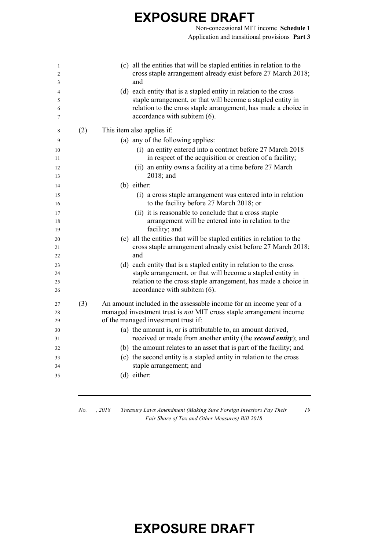Non-concessional MIT income **Schedule 1** Application and transitional provisions **Part 3**

| 1<br>2<br>3          |     | (c) all the entities that will be stapled entities in relation to the<br>cross staple arrangement already exist before 27 March 2018;<br>and                                                                                       |
|----------------------|-----|------------------------------------------------------------------------------------------------------------------------------------------------------------------------------------------------------------------------------------|
| 4<br>5<br>6          |     | (d) each entity that is a stapled entity in relation to the cross<br>staple arrangement, or that will become a stapled entity in<br>relation to the cross staple arrangement, has made a choice in                                 |
| 7                    |     | accordance with subitem (6).                                                                                                                                                                                                       |
| 8                    | (2) | This item also applies if:                                                                                                                                                                                                         |
| 9                    |     | (a) any of the following applies:                                                                                                                                                                                                  |
| 10<br>11             |     | (i) an entity entered into a contract before 27 March 2018<br>in respect of the acquisition or creation of a facility;                                                                                                             |
| 12<br>13             |     | (ii) an entity owns a facility at a time before 27 March<br>$2018$ ; and                                                                                                                                                           |
| 14                   |     | (b) either:                                                                                                                                                                                                                        |
| 15                   |     | (i) a cross staple arrangement was entered into in relation                                                                                                                                                                        |
| 16                   |     | to the facility before 27 March 2018; or                                                                                                                                                                                           |
| 17                   |     | (ii) it is reasonable to conclude that a cross staple                                                                                                                                                                              |
| 18<br>19             |     | arrangement will be entered into in relation to the<br>facility; and                                                                                                                                                               |
| 20<br>21<br>22       |     | (c) all the entities that will be stapled entities in relation to the<br>cross staple arrangement already exist before 27 March 2018;<br>and                                                                                       |
| 23<br>24<br>25<br>26 |     | (d) each entity that is a stapled entity in relation to the cross<br>staple arrangement, or that will become a stapled entity in<br>relation to the cross staple arrangement, has made a choice in<br>accordance with subitem (6). |
| 27<br>28<br>29       | (3) | An amount included in the assessable income for an income year of a<br>managed investment trust is not MIT cross staple arrangement income<br>of the managed investment trust if:                                                  |
| 30                   |     | (a) the amount is, or is attributable to, an amount derived,                                                                                                                                                                       |
| 31                   |     | received or made from another entity (the second entity); and                                                                                                                                                                      |
| 32                   |     | (b) the amount relates to an asset that is part of the facility; and                                                                                                                                                               |
| 33                   |     | (c) the second entity is a stapled entity in relation to the cross                                                                                                                                                                 |
| 34                   |     | staple arrangement; and                                                                                                                                                                                                            |
| 35                   |     | (d) either:                                                                                                                                                                                                                        |
|                      |     |                                                                                                                                                                                                                                    |

*No. , 2018 Treasury Laws Amendment (Making Sure Foreign Investors Pay Their Fair Share of Tax and Other Measures) Bill 2018*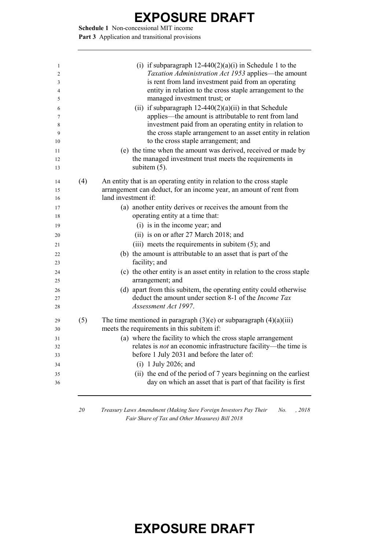**Schedule 1** Non-concessional MIT income Part 3 Application and transitional provisions

|     | (i) if subparagraph $12-440(2)(a)(i)$ in Schedule 1 to the<br>Taxation Administration Act 1953 applies—the amount<br>is rent from land investment paid from an operating<br>entity in relation to the cross staple arrangement to the<br>managed investment trust; or<br>(ii) if subparagraph $12-440(2)(a)(ii)$ in that Schedule<br>applies—the amount is attributable to rent from land<br>investment paid from an operating entity in relation to |
|-----|------------------------------------------------------------------------------------------------------------------------------------------------------------------------------------------------------------------------------------------------------------------------------------------------------------------------------------------------------------------------------------------------------------------------------------------------------|
|     | the cross staple arrangement to an asset entity in relation<br>to the cross staple arrangement; and                                                                                                                                                                                                                                                                                                                                                  |
|     | (e) the time when the amount was derived, received or made by                                                                                                                                                                                                                                                                                                                                                                                        |
|     | the managed investment trust meets the requirements in                                                                                                                                                                                                                                                                                                                                                                                               |
|     | subitem $(5)$ .                                                                                                                                                                                                                                                                                                                                                                                                                                      |
| (4) | An entity that is an operating entity in relation to the cross staple                                                                                                                                                                                                                                                                                                                                                                                |
|     | arrangement can deduct, for an income year, an amount of rent from                                                                                                                                                                                                                                                                                                                                                                                   |
|     | land investment if:                                                                                                                                                                                                                                                                                                                                                                                                                                  |
|     | (a) another entity derives or receives the amount from the                                                                                                                                                                                                                                                                                                                                                                                           |
|     | operating entity at a time that:                                                                                                                                                                                                                                                                                                                                                                                                                     |
|     | (i) is in the income year; and                                                                                                                                                                                                                                                                                                                                                                                                                       |
|     | (ii) is on or after 27 March 2018; and                                                                                                                                                                                                                                                                                                                                                                                                               |
|     | (iii) meets the requirements in subitem (5); and                                                                                                                                                                                                                                                                                                                                                                                                     |
|     | (b) the amount is attributable to an asset that is part of the                                                                                                                                                                                                                                                                                                                                                                                       |
|     | facility; and                                                                                                                                                                                                                                                                                                                                                                                                                                        |
|     | (c) the other entity is an asset entity in relation to the cross staple<br>arrangement; and                                                                                                                                                                                                                                                                                                                                                          |
|     | (d) apart from this subitem, the operating entity could otherwise                                                                                                                                                                                                                                                                                                                                                                                    |
|     | deduct the amount under section 8-1 of the <i>Income Tax</i>                                                                                                                                                                                                                                                                                                                                                                                         |
|     | Assessment Act 1997.                                                                                                                                                                                                                                                                                                                                                                                                                                 |
| (5) | The time mentioned in paragraph $(3)(e)$ or subparagraph $(4)(a)(iii)$                                                                                                                                                                                                                                                                                                                                                                               |
|     | meets the requirements in this subitem if:                                                                                                                                                                                                                                                                                                                                                                                                           |
|     | (a) where the facility to which the cross staple arrangement                                                                                                                                                                                                                                                                                                                                                                                         |
|     | relates is <i>not</i> an economic infrastructure facility—the time is<br>before 1 July 2031 and before the later of:                                                                                                                                                                                                                                                                                                                                 |
|     | $(i)$ 1 July 2026; and                                                                                                                                                                                                                                                                                                                                                                                                                               |
|     | (ii) the end of the period of 7 years beginning on the earliest<br>day on which an asset that is part of that facility is first                                                                                                                                                                                                                                                                                                                      |

 *Treasury Laws Amendment (Making Sure Foreign Investors Pay Their Fair Share of Tax and Other Measures) Bill 2018 No. , 2018*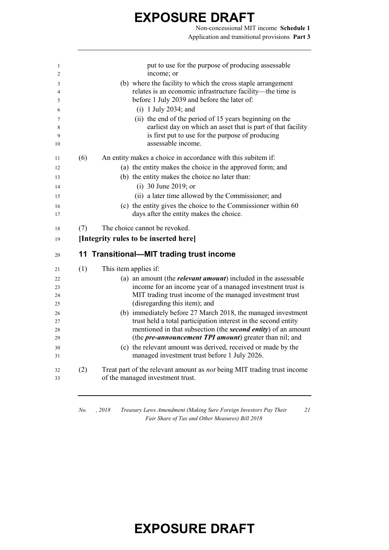Non-concessional MIT income **Schedule 1** Application and transitional provisions **Part 3**

| 1      |     | put to use for the purpose of producing assessable                                                                      |
|--------|-----|-------------------------------------------------------------------------------------------------------------------------|
| 2      |     | income; or                                                                                                              |
| 3      |     | (b) where the facility to which the cross staple arrangement                                                            |
| 4      |     | relates is an economic infrastructure facility-the time is                                                              |
| 5      |     | before 1 July 2039 and before the later of:                                                                             |
| 6      |     | $(i)$ 1 July 2034; and                                                                                                  |
| 7<br>8 |     | (ii) the end of the period of 15 years beginning on the<br>earliest day on which an asset that is part of that facility |
| 9      |     | is first put to use for the purpose of producing<br>assessable income.                                                  |
| 10     |     |                                                                                                                         |
| 11     | (6) | An entity makes a choice in accordance with this subitem if:                                                            |
| 12     |     | (a) the entity makes the choice in the approved form; and                                                               |
| 13     |     | (b) the entity makes the choice no later than:                                                                          |
| 14     |     | (i) 30 June 2019; or                                                                                                    |
| 15     |     | (ii) a later time allowed by the Commissioner; and                                                                      |
| 16     |     | (c) the entity gives the choice to the Commissioner within 60                                                           |
| 17     |     | days after the entity makes the choice.                                                                                 |
|        |     |                                                                                                                         |
| 18     | (7) | The choice cannot be revoked.                                                                                           |
| 19     |     | [Integrity rules to be inserted here]                                                                                   |
| 20     |     | 11 Transitional-MIT trading trust income                                                                                |
| 21     | (1) | This item applies if:                                                                                                   |
| 22     |     | (a) an amount (the <i>relevant amount</i> ) included in the assessable                                                  |
| 23     |     | income for an income year of a managed investment trust is                                                              |
| 24     |     | MIT trading trust income of the managed investment trust                                                                |
| 25     |     | (disregarding this item); and                                                                                           |
| 26     |     | (b) immediately before 27 March 2018, the managed investment                                                            |
| 27     |     | trust held a total participation interest in the second entity                                                          |
| 28     |     | mentioned in that subsection (the <b>second entity</b> ) of an amount                                                   |
| 29     |     | (the <i>pre-announcement TPI amount</i> ) greater than nil; and                                                         |
| 30     |     | (c) the relevant amount was derived, received or made by the                                                            |
| 31     |     | managed investment trust before 1 July 2026.                                                                            |
| 32     | (2) | Treat part of the relevant amount as <i>not</i> being MIT trading trust income                                          |
| 33     |     | of the managed investment trust.                                                                                        |
|        |     |                                                                                                                         |

*No. , 2018 Treasury Laws Amendment (Making Sure Foreign Investors Pay Their Fair Share of Tax and Other Measures) Bill 2018*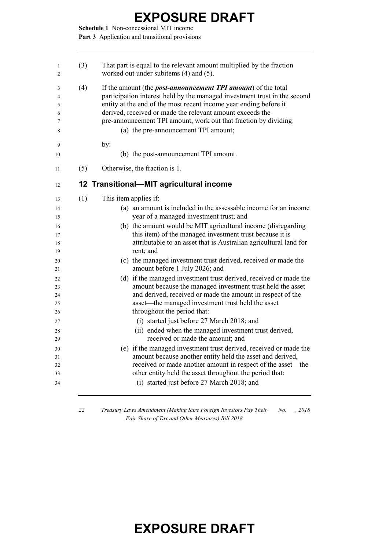**Schedule 1** Non-concessional MIT income Part 3 Application and transitional provisions

| (3)<br>1<br>$\overline{2}$                                                                                                              | That part is equal to the relevant amount multiplied by the fraction<br>worked out under subitems (4) and (5).                                                                                                                                                                                                                                                                                                                                                                                                                                                                                                                                                                                                                                                                                                                                                                                                                                                                                                                                                                                                                                                                                    |
|-----------------------------------------------------------------------------------------------------------------------------------------|---------------------------------------------------------------------------------------------------------------------------------------------------------------------------------------------------------------------------------------------------------------------------------------------------------------------------------------------------------------------------------------------------------------------------------------------------------------------------------------------------------------------------------------------------------------------------------------------------------------------------------------------------------------------------------------------------------------------------------------------------------------------------------------------------------------------------------------------------------------------------------------------------------------------------------------------------------------------------------------------------------------------------------------------------------------------------------------------------------------------------------------------------------------------------------------------------|
| (4)<br>3<br>4<br>5<br>6<br>7<br>8                                                                                                       | If the amount (the <i>post-announcement TPI amount</i> ) of the total<br>participation interest held by the managed investment trust in the second<br>entity at the end of the most recent income year ending before it<br>derived, received or made the relevant amount exceeds the<br>pre-announcement TPI amount, work out that fraction by dividing:<br>(a) the pre-announcement TPI amount;                                                                                                                                                                                                                                                                                                                                                                                                                                                                                                                                                                                                                                                                                                                                                                                                  |
| 9<br>10                                                                                                                                 | by:<br>(b) the post-announcement TPI amount.                                                                                                                                                                                                                                                                                                                                                                                                                                                                                                                                                                                                                                                                                                                                                                                                                                                                                                                                                                                                                                                                                                                                                      |
| (5)<br>11                                                                                                                               | Otherwise, the fraction is 1.                                                                                                                                                                                                                                                                                                                                                                                                                                                                                                                                                                                                                                                                                                                                                                                                                                                                                                                                                                                                                                                                                                                                                                     |
| 12                                                                                                                                      | 12 Transitional-MIT agricultural income                                                                                                                                                                                                                                                                                                                                                                                                                                                                                                                                                                                                                                                                                                                                                                                                                                                                                                                                                                                                                                                                                                                                                           |
| (1)<br>13<br>14<br>15<br>16<br>17<br>18<br>19<br>20<br>21<br>22<br>23<br>24<br>25<br>26<br>27<br>28<br>29<br>30<br>31<br>32<br>33<br>34 | This item applies if:<br>(a) an amount is included in the assessable income for an income<br>year of a managed investment trust; and<br>(b) the amount would be MIT agricultural income (disregarding<br>this item) of the managed investment trust because it is<br>attributable to an asset that is Australian agricultural land for<br>rent; and<br>(c) the managed investment trust derived, received or made the<br>amount before 1 July 2026; and<br>(d) if the managed investment trust derived, received or made the<br>amount because the managed investment trust held the asset<br>and derived, received or made the amount in respect of the<br>asset—the managed investment trust held the asset<br>throughout the period that:<br>(i) started just before 27 March 2018; and<br>(ii) ended when the managed investment trust derived,<br>received or made the amount; and<br>(e) if the managed investment trust derived, received or made the<br>amount because another entity held the asset and derived,<br>received or made another amount in respect of the asset—the<br>other entity held the asset throughout the period that:<br>(i) started just before 27 March 2018; and |

 *Treasury Laws Amendment (Making Sure Foreign Investors Pay Their Fair Share of Tax and Other Measures) Bill 2018 No. , 2018*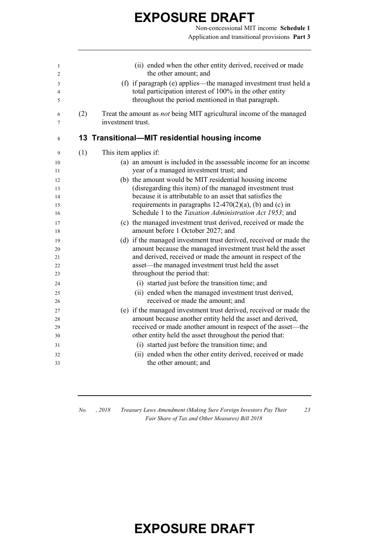Non-concessional MIT income **Schedule 1** Application and transitional provisions **Part 3**

| 1<br>$\overline{2}$ |     | (ii) ended when the other entity derived, received or made<br>the other amount; and                                          |
|---------------------|-----|------------------------------------------------------------------------------------------------------------------------------|
|                     |     |                                                                                                                              |
| 3                   |     | (f) if paragraph (e) applies—the managed investment trust held a<br>total participation interest of 100% in the other entity |
| 4                   |     | throughout the period mentioned in that paragraph.                                                                           |
| 5                   |     |                                                                                                                              |
| 6                   | (2) | Treat the amount as not being MIT agricultural income of the managed                                                         |
| 7                   |     | investment trust.                                                                                                            |
|                     |     |                                                                                                                              |
| 8                   |     | 13 Transitional—MIT residential housing income                                                                               |
| 9                   | (1) | This item applies if:                                                                                                        |
| 10                  |     | (a) an amount is included in the assessable income for an income                                                             |
| 11                  |     | year of a managed investment trust; and                                                                                      |
| 12                  |     | (b) the amount would be MIT residential housing income                                                                       |
| 13                  |     | (disregarding this item) of the managed investment trust                                                                     |
| 14                  |     | because it is attributable to an asset that satisfies the                                                                    |
| 15                  |     | requirements in paragraphs $12-470(2)(a)$ , (b) and (c) in                                                                   |
| 16                  |     | Schedule 1 to the Taxation Administration Act 1953; and                                                                      |
| 17                  |     | (c) the managed investment trust derived, received or made the                                                               |
| 18                  |     | amount before 1 October 2027; and                                                                                            |
| 19                  |     | (d) if the managed investment trust derived, received or made the                                                            |
| 20                  |     | amount because the managed investment trust held the asset                                                                   |
| 21                  |     | and derived, received or made the amount in respect of the                                                                   |
| 22                  |     | asset—the managed investment trust held the asset                                                                            |
| 23                  |     | throughout the period that:                                                                                                  |
| 24                  |     | (i) started just before the transition time; and                                                                             |
| 25                  |     | (ii) ended when the managed investment trust derived,                                                                        |
| 26                  |     | received or made the amount; and                                                                                             |
| 27                  |     | (e) if the managed investment trust derived, received or made the                                                            |
| 28                  |     | amount because another entity held the asset and derived,                                                                    |
| 29                  |     | received or made another amount in respect of the asset—the                                                                  |
| 30                  |     | other entity held the asset throughout the period that:                                                                      |
| 31                  |     | (i) started just before the transition time; and                                                                             |
| 32                  |     | (ii) ended when the other entity derived, received or made                                                                   |
| 33                  |     | the other amount; and                                                                                                        |
|                     |     |                                                                                                                              |

*No. , 2018 Treasury Laws Amendment (Making Sure Foreign Investors Pay Their Fair Share of Tax and Other Measures) Bill 2018*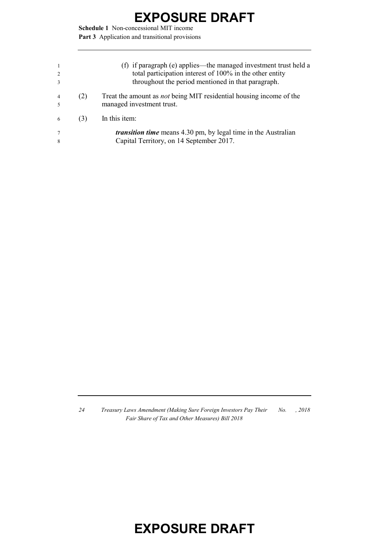**Schedule 1** Non-concessional MIT income Part 3 Application and transitional provisions

| $\overline{1}$<br>2<br>3 |     | (f) if paragraph (e) applies—the managed investment trust held a<br>total participation interest of 100% in the other entity<br>throughout the period mentioned in that paragraph. |
|--------------------------|-----|------------------------------------------------------------------------------------------------------------------------------------------------------------------------------------|
| $\overline{4}$<br>$\sim$ | (2) | Treat the amount as <i>not</i> being MIT residential housing income of the<br>managed investment trust.                                                                            |
| 6                        | (3) | In this item:                                                                                                                                                                      |
| 7<br>8                   |     | <i>transition time</i> means 4.30 pm, by legal time in the Australian<br>Capital Territory, on 14 September 2017.                                                                  |

*24 Treasury Laws Amendment (Making Sure Foreign Investors Pay Their Fair Share of Tax and Other Measures) Bill 2018 No. , 2018*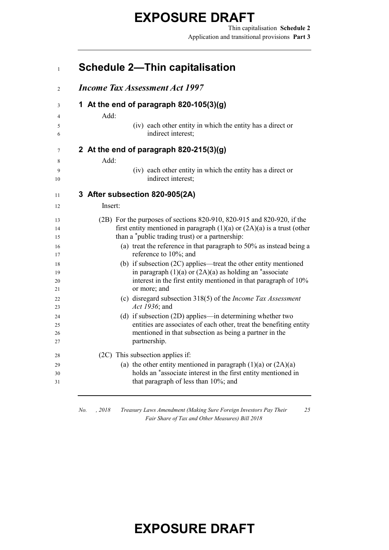Thin capitalisation **Schedule 2** Application and transitional provisions **Part 3**

#### *No. , 2018 Treasury Laws Amendment (Making Sure Foreign Investors Pay Their Fair Share of Tax and Other Measures) Bill 2018* **Schedule 2—Thin capitalisation** *Income Tax Assessment Act 1997* **1 At the end of paragraph 820-105(3)(g)** Add: (iv) each other entity in which the entity has a direct or indirect interest; **2 At the end of paragraph 820-215(3)(g)** Add: (iv) each other entity in which the entity has a direct or 10 indirect interest; **3 After subsection 820-905(2A)** Insert: (2B) For the purposes of sections 820-910, 820-915 and 820-920, if the first entity mentioned in paragraph (1)(a) or (2A)(a) is a trust (other than a \*public trading trust) or a partnership: (a) treat the reference in that paragraph to 50% as instead being a 17 reference to 10%; and (b) if subsection (2C) applies—treat the other entity mentioned 19 in paragraph  $(1)(a)$  or  $(2A)(a)$  as holding an \*associate interest in the first entity mentioned in that paragraph of 10% or more; and (c) disregard subsection 318(5) of the *Income Tax Assessment Act 1936*; and (d) if subsection (2D) applies—in determining whether two entities are associates of each other, treat the benefiting entity mentioned in that subsection as being a partner in the partnership. (2C) This subsection applies if: 29 (a) the other entity mentioned in paragraph  $(1)(a)$  or  $(2A)(a)$ **bolds** an \*associate interest in the first entity mentioned in that paragraph of less than 10%; and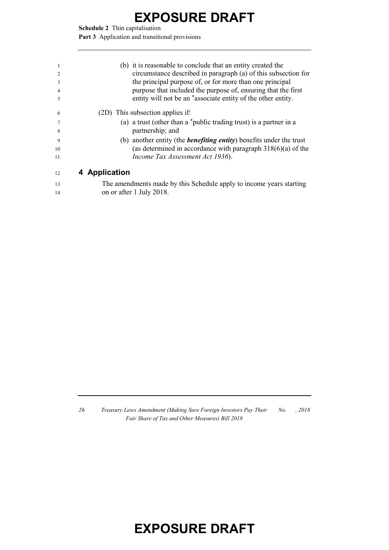**Schedule 2** Thin capitalisation

Part 3 Application and transitional provisions

| 1<br>2<br>3<br>4<br>5 | (b) it is reasonable to conclude that an entity created the<br>circumstance described in paragraph (a) of this subsection for<br>the principal purpose of, or for more than one principal<br>purpose that included the purpose of, ensuring that the first<br>entity will not be an *associate entity of the other entity. |
|-----------------------|----------------------------------------------------------------------------------------------------------------------------------------------------------------------------------------------------------------------------------------------------------------------------------------------------------------------------|
| 6                     | (2D) This subsection applies if:                                                                                                                                                                                                                                                                                           |
|                       | (a) a trust (other than a *public trading trust) is a partner in a                                                                                                                                                                                                                                                         |
| 8                     | partnership; and                                                                                                                                                                                                                                                                                                           |
| 9                     | (b) another entity (the <i>benefiting entity</i> ) benefits under the trust                                                                                                                                                                                                                                                |
| 10                    | (as determined in accordance with paragraph $318(6)(a)$ of the                                                                                                                                                                                                                                                             |
| 11                    | Income Tax Assessment Act 1936).                                                                                                                                                                                                                                                                                           |
| 12                    | 4 Application                                                                                                                                                                                                                                                                                                              |
| 13                    | The amendments made by this Schedule apply to income years starting                                                                                                                                                                                                                                                        |
| 14                    | on or after 1 July 2018.                                                                                                                                                                                                                                                                                                   |

 *Treasury Laws Amendment (Making Sure Foreign Investors Pay Their Fair Share of Tax and Other Measures) Bill 2018 No. , 2018*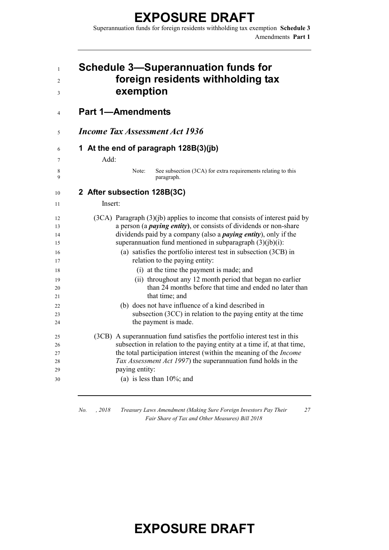Superannuation funds for foreign residents withholding tax exemption **Schedule 3** Amendments **Part 1**

| <b>Schedule 3-Superannuation funds for</b><br>foreign residents withholding tax<br>exemption                                                                 |
|--------------------------------------------------------------------------------------------------------------------------------------------------------------|
| <b>Part 1-Amendments</b>                                                                                                                                     |
| <b>Income Tax Assessment Act 1936</b>                                                                                                                        |
| 1 At the end of paragraph 128B(3)(jb)                                                                                                                        |
| Add:                                                                                                                                                         |
| Note:<br>See subsection (3CA) for extra requirements relating to this<br>paragraph.                                                                          |
| 2 After subsection 128B(3C)                                                                                                                                  |
| Insert:                                                                                                                                                      |
|                                                                                                                                                              |
| $(3CA)$ Paragraph $(3)(jb)$ applies to income that consists of interest paid by<br>a person (a <i>paying entity</i> ), or consists of dividends or non-share |
| dividends paid by a company (also a <i>paying entity</i> ), only if the                                                                                      |
| superannuation fund mentioned in subparagraph (3)(jb)(i):                                                                                                    |
| (a) satisfies the portfolio interest test in subsection (3CB) in                                                                                             |
| relation to the paying entity:                                                                                                                               |
| (i) at the time the payment is made; and                                                                                                                     |
| (ii) throughout any 12 month period that began no earlier                                                                                                    |
| than 24 months before that time and ended no later than                                                                                                      |
| that time; and                                                                                                                                               |
| (b) does not have influence of a kind described in                                                                                                           |
| subsection (3CC) in relation to the paying entity at the time                                                                                                |
| the payment is made.                                                                                                                                         |
| (3CB) A superannuation fund satisfies the portfolio interest test in this                                                                                    |
| subsection in relation to the paying entity at a time if, at that time,                                                                                      |
| the total participation interest (within the meaning of the <i>Income</i>                                                                                    |
| Tax Assessment Act 1997) the superannuation fund holds in the                                                                                                |
| paying entity:                                                                                                                                               |
| (a) is less than $10\%$ ; and                                                                                                                                |
|                                                                                                                                                              |

*No. , 2018 Treasury Laws Amendment (Making Sure Foreign Investors Pay Their Fair Share of Tax and Other Measures) Bill 2018*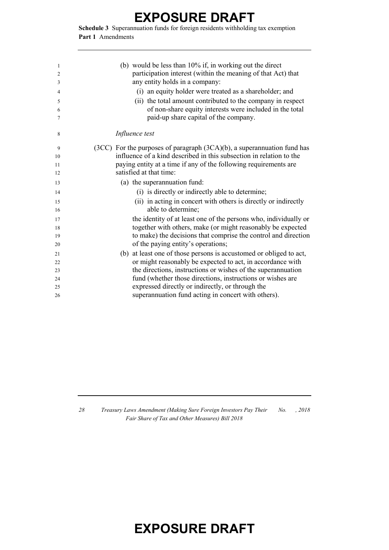**Schedule 3** Superannuation funds for foreign residents withholding tax exemption **Part 1** Amendments

| 1  | (b) would be less than 10% if, in working out the direct                     |
|----|------------------------------------------------------------------------------|
| 2  | participation interest (within the meaning of that Act) that                 |
| 3  | any entity holds in a company:                                               |
| 4  | (i) an equity holder were treated as a shareholder; and                      |
| 5  | (ii) the total amount contributed to the company in respect                  |
| 6  | of non-share equity interests were included in the total                     |
| 7  | paid-up share capital of the company.                                        |
| 8  | Influence test                                                               |
| 9  | $(3CC)$ For the purposes of paragraph $(3CA)(b)$ , a superannuation fund has |
| 10 | influence of a kind described in this subsection in relation to the          |
| 11 | paying entity at a time if any of the following requirements are             |
| 12 | satisfied at that time:                                                      |
| 13 | (a) the superannuation fund:                                                 |
| 14 | (i) is directly or indirectly able to determine;                             |
| 15 | (ii) in acting in concert with others is directly or indirectly              |
| 16 | able to determine;                                                           |
| 17 | the identity of at least one of the persons who, individually or             |
| 18 | together with others, make (or might reasonably be expected                  |
| 19 | to make) the decisions that comprise the control and direction               |
| 20 | of the paying entity's operations;                                           |
| 21 | at least one of those persons is accustomed or obliged to act,<br>(b)        |
| 22 | or might reasonably be expected to act, in accordance with                   |
| 23 | the directions, instructions or wishes of the superannuation                 |
| 24 | fund (whether those directions, instructions or wishes are                   |
| 25 | expressed directly or indirectly, or through the                             |
| 26 | superannuation fund acting in concert with others).                          |
|    |                                                                              |

 *Treasury Laws Amendment (Making Sure Foreign Investors Pay Their Fair Share of Tax and Other Measures) Bill 2018 No. , 2018*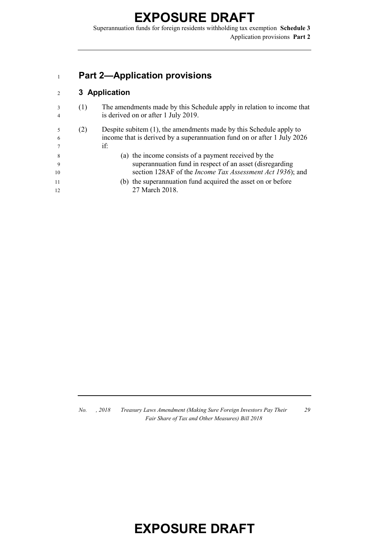Superannuation funds for foreign residents withholding tax exemption **Schedule 3** Application provisions **Part 2**

#### **Part 2—Application provisions**

#### **3 Application**

- (1) The amendments made by this Schedule apply in relation to income that is derived on or after 1 July 2019.
- (2) Despite subitem (1), the amendments made by this Schedule apply to income that is derived by a superannuation fund on or after 1 July 2026 if:
- (a) the income consists of a payment received by the superannuation fund in respect of an asset (disregarding section 128AF of the *Income Tax Assessment Act 1936*); and
- (b) the superannuation fund acquired the asset on or before 12 27 March 2018.

*No. , 2018 Treasury Laws Amendment (Making Sure Foreign Investors Pay Their Fair Share of Tax and Other Measures) Bill 2018*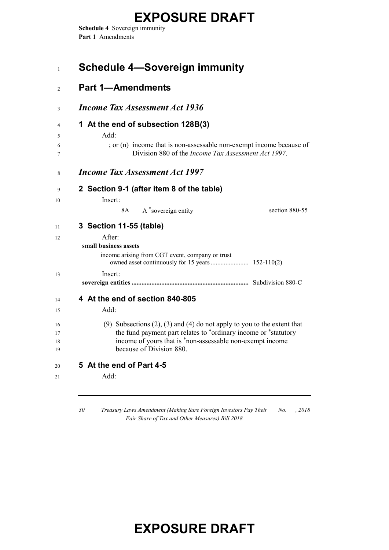**Schedule 4** Sovereign immunity **Part 1** Amendments

| <b>Schedule 4-Sovereign immunity</b>                                                                                                                                                                                                       |                |
|--------------------------------------------------------------------------------------------------------------------------------------------------------------------------------------------------------------------------------------------|----------------|
| <b>Part 1-Amendments</b>                                                                                                                                                                                                                   |                |
| <b>Income Tax Assessment Act 1936</b>                                                                                                                                                                                                      |                |
| 1 At the end of subsection 128B(3)<br>Add:<br>; or (n) income that is non-assessable non-exempt income because of<br>Division 880 of the <i>Income Tax Assessment Act 1997</i> .                                                           |                |
| <b>Income Tax Assessment Act 1997</b>                                                                                                                                                                                                      |                |
| 2 Section 9-1 (after item 8 of the table)<br>Insert:<br>8A<br>A *sovereign entity                                                                                                                                                          | section 880-55 |
| 3 Section 11-55 (table)                                                                                                                                                                                                                    |                |
| After:<br>small business assets<br>income arising from CGT event, company or trust                                                                                                                                                         |                |
| Insert:                                                                                                                                                                                                                                    |                |
| 4 At the end of section 840-805                                                                                                                                                                                                            |                |
| $Add+$                                                                                                                                                                                                                                     |                |
| (9) Subsections $(2)$ , $(3)$ and $(4)$ do not apply to you to the extent that<br>the fund payment part relates to *ordinary income or *statutory<br>income of yours that is *non-assessable non-exempt income<br>because of Division 880. |                |
| 5 At the end of Part 4-5                                                                                                                                                                                                                   |                |
| Add:                                                                                                                                                                                                                                       |                |

*30 Treasury Laws Amendment (Making Sure Foreign Investors Pay Their Fair Share of Tax and Other Measures) Bill 2018 No. , 2018*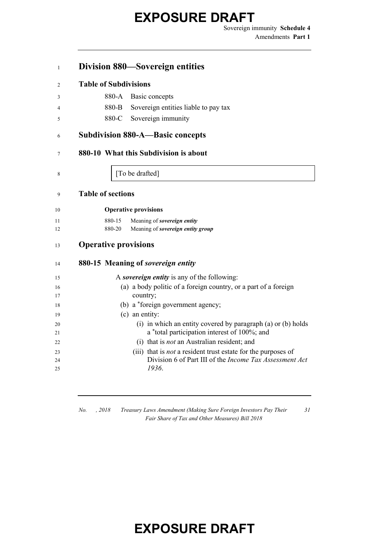Sovereign immunity **Schedule 4** Amendments **Part 1**

#### **Division 880—Sovereign entities**

#### **Table of Subdivisions**

- 880-B Sovereign entities liable to pay tax
- 880-C Sovereign immunity

#### **Subdivision 880-A—Basic concepts**

#### **880-10 What this Subdivision is about**

8 [To be drafted]

#### **Table of sections**

| 10 | <b>Operative provisions</b> |
|----|-----------------------------|
|    |                             |

- 880-15 Meaning of *sovereign entity*
- 880-20 Meaning of *sovereign entity group*

#### **Operative provisions**

| 14 | 880-15 Meaning of <i>sovereign entity</i>                            |
|----|----------------------------------------------------------------------|
| 15 | A sovereign entity is any of the following:                          |
| 16 | (a) a body politic of a foreign country, or a part of a foreign      |
| 17 | country;                                                             |
| 18 | (b) a *foreign government agency;                                    |
| 19 | $(c)$ an entity:                                                     |
| 20 | (i) in which an entity covered by paragraph (a) or (b) holds         |
| 21 | a *total participation interest of 100%; and                         |
| 22 | (i) that is <i>not</i> an Australian resident; and                   |
| 23 | (iii) that is <i>not</i> a resident trust estate for the purposes of |
| 24 | Division 6 of Part III of the <i>Income Tax Assessment Act</i>       |
| 25 | 1936.                                                                |

*No. , 2018 Treasury Laws Amendment (Making Sure Foreign Investors Pay Their Fair Share of Tax and Other Measures) Bill 2018*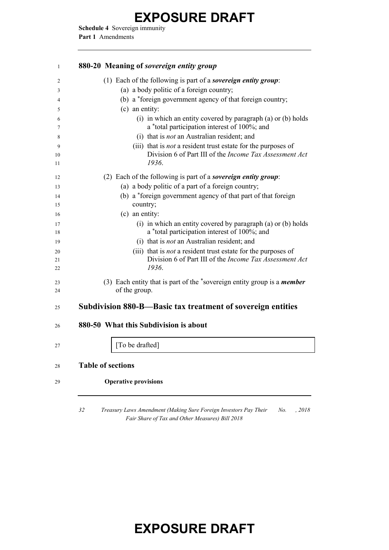**Schedule 4** Sovereign immunity **Part 1** Amendments

#### **880-20 Meaning of** *sovereign entity group* (1) Each of the following is part of a *sovereign entity group*: (a) a body politic of a foreign country; (b) a \* foreign government agency of that foreign country; (c) an entity:  $\epsilon$  (i) in which an entity covered by paragraph (a) or (b) holds a \* total participation interest of 100%; and (i) that is *not* an Australian resident; and (iii) that is *not* a resident trust estate for the purposes of Division 6 of Part III of the *Income Tax Assessment Act 1936*. (2) Each of the following is part of a *sovereign entity group*: (a) a body politic of a part of a foreign country; (b) a \* foreign government agency of that part of that foreign country; (c) an entity: (i) in which an entity covered by paragraph (a) or (b) holds 18 a \*total participation interest of 100%; and (i) that is *not* an Australian resident; and (iii) that is *not* a resident trust estate for the purposes of Division 6 of Part III of the *Income Tax Assessment Act 1936*. (3) Each entity that is part of the \*sovereign entity group is a *member*  of the group. **Subdivision 880-B—Basic tax treatment of sovereign entities 880-50 What this Subdivision is about I** [To be drafted] **Table of sections Operative provisions**

 *Treasury Laws Amendment (Making Sure Foreign Investors Pay Their Fair Share of Tax and Other Measures) Bill 2018 No. , 2018*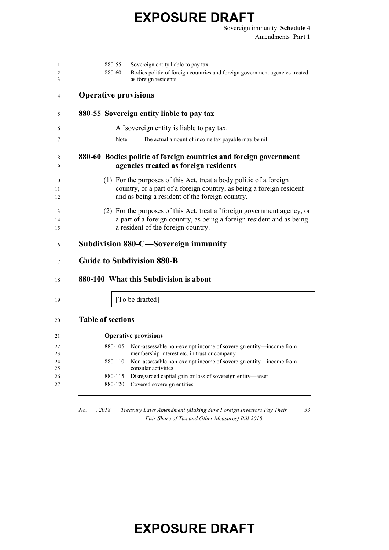Sovereign immunity **Schedule 4** Amendments **Part 1**

| 1<br>2<br>3    | 880-55<br>Sovereign entity liable to pay tax<br>880-60<br>Bodies politic of foreign countries and foreign government agencies treated<br>as foreign residents                                  |
|----------------|------------------------------------------------------------------------------------------------------------------------------------------------------------------------------------------------|
| 4              | <b>Operative provisions</b>                                                                                                                                                                    |
| 5              | 880-55 Sovereign entity liable to pay tax                                                                                                                                                      |
| 6              | A *sovereign entity is liable to pay tax.                                                                                                                                                      |
| 7              | The actual amount of income tax payable may be nil.<br>Note:                                                                                                                                   |
| 8<br>9         | 880-60 Bodies politic of foreign countries and foreign government<br>agencies treated as foreign residents                                                                                     |
| 10<br>11<br>12 | (1) For the purposes of this Act, treat a body politic of a foreign<br>country, or a part of a foreign country, as being a foreign resident<br>and as being a resident of the foreign country. |
| 13<br>14<br>15 | (2) For the purposes of this Act, treat a *foreign government agency, or<br>a part of a foreign country, as being a foreign resident and as being<br>a resident of the foreign country.        |
| 16             | Subdivision 880-C—Sovereign immunity                                                                                                                                                           |
| 17             | <b>Guide to Subdivision 880-B</b>                                                                                                                                                              |
| 18             | 880-100 What this Subdivision is about                                                                                                                                                         |
| 19             | [To be drafted]                                                                                                                                                                                |
| 20             | <b>Table of sections</b>                                                                                                                                                                       |
| 21             | <b>Operative provisions</b>                                                                                                                                                                    |

| Operative provisions |         |                                                                                                                          |
|----------------------|---------|--------------------------------------------------------------------------------------------------------------------------|
| 22<br>23             |         | 880-105 Non-assessable non-exempt income of sovereign entity—income from<br>membership interest etc. in trust or company |
| 24<br>25             | 880-110 | Non-assessable non-exempt income of sovereign entity—income from<br>consular activities                                  |
| 26                   |         | 880-115 Disregarded capital gain or loss of sovereign entity—asset                                                       |
| 27                   | 880-120 | Covered sovereign entities                                                                                               |

*No. , 2018 Treasury Laws Amendment (Making Sure Foreign Investors Pay Their Fair Share of Tax and Other Measures) Bill 2018*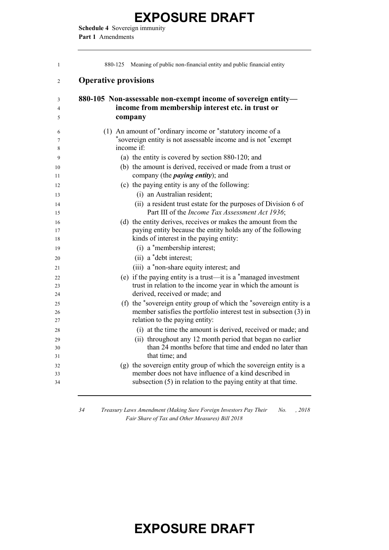**Schedule 4** Sovereign immunity **Part 1** Amendments

| $\mathbf{1}$   | Meaning of public non-financial entity and public financial entity<br>880-125                                          |
|----------------|------------------------------------------------------------------------------------------------------------------------|
| $\overline{2}$ | <b>Operative provisions</b>                                                                                            |
| 3              | 880-105 Non-assessable non-exempt income of sovereign entity-                                                          |
| 4              | income from membership interest etc. in trust or                                                                       |
| 5              | company                                                                                                                |
| 6              | (1) An amount of *ordinary income or *statutory income of a                                                            |
| 7              | *sovereign entity is not assessable income and is not *exempt                                                          |
| 8              | income if:                                                                                                             |
| 9              | (a) the entity is covered by section 880-120; and                                                                      |
| 10<br>11       | (b) the amount is derived, received or made from a trust or<br>company (the <i>paying entity</i> ); and                |
| 12             | (c) the paying entity is any of the following:                                                                         |
| 13             | (i) an Australian resident;                                                                                            |
| 14             | (ii) a resident trust estate for the purposes of Division 6 of                                                         |
| 15             | Part III of the Income Tax Assessment Act 1936;                                                                        |
| 16             | (d) the entity derives, receives or makes the amount from the                                                          |
| 17             | paying entity because the entity holds any of the following                                                            |
| 18             | kinds of interest in the paying entity:                                                                                |
| 19             | (i) a *membership interest;                                                                                            |
| 20             | (ii) a *debt interest;                                                                                                 |
| 21             | (iii) a *non-share equity interest; and                                                                                |
| 22             | (e) if the paying entity is a trust—it is a $*$ managed investment                                                     |
| 23             | trust in relation to the income year in which the amount is<br>derived, received or made; and                          |
| 24             | (f) the *sovereign entity group of which the *sovereign entity is a                                                    |
| 25<br>26       | member satisfies the portfolio interest test in subsection (3) in                                                      |
| 27             | relation to the paying entity:                                                                                         |
| 28             | (i) at the time the amount is derived, received or made; and                                                           |
| 29             | (ii) throughout any 12 month period that began no earlier                                                              |
| 30             | than 24 months before that time and ended no later than                                                                |
| 31             | that time; and                                                                                                         |
| 32             | (g) the sovereign entity group of which the sovereign entity is a                                                      |
| 33<br>34       | member does not have influence of a kind described in<br>subsection (5) in relation to the paying entity at that time. |
|                |                                                                                                                        |

 *Treasury Laws Amendment (Making Sure Foreign Investors Pay Their No. , 2018 Fair Share of Tax and Other Measures) Bill 2018*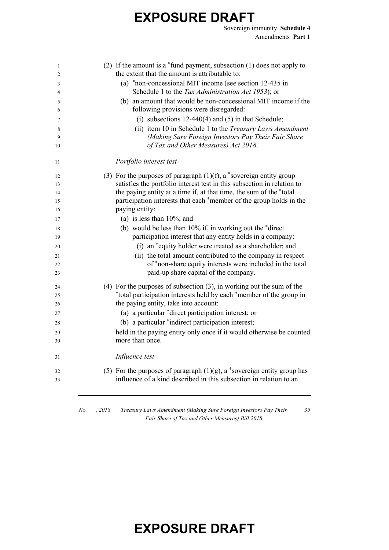Sovereign immunity **Schedule 4** Amendments **Part 1**

| 1  | (2) If the amount is a $*$ fund payment, subsection (1) does not apply to  |
|----|----------------------------------------------------------------------------|
| 2  | the extent that the amount is attributable to:                             |
| 3  | (a) *non-concessional MIT income (see section 12-435 in                    |
| 4  | Schedule 1 to the Tax Administration Act 1953); or                         |
| 5  | (b) an amount that would be non-concessional MIT income if the             |
| 6  | following provisions were disregarded:                                     |
| 7  | (i) subsections $12-440(4)$ and $(5)$ in that Schedule;                    |
| 8  | (ii) item 10 in Schedule 1 to the Treasury Laws Amendment                  |
| 9  | (Making Sure Foreign Investors Pay Their Fair Share                        |
| 10 | of Tax and Other Measures) Act 2018.                                       |
| 11 | Portfolio interest test                                                    |
| 12 | (3) For the purposes of paragraph $(1)(f)$ , a *sovereign entity group     |
| 13 | satisfies the portfolio interest test in this subsection in relation to    |
| 14 | the paying entity at a time if, at that time, the sum of the *total        |
| 15 | participation interests that each *member of the group holds in the        |
| 16 | paying entity:                                                             |
| 17 | (a) is less than $10\%$ ; and                                              |
| 18 | (b) would be less than $10\%$ if, in working out the $*$ direct            |
| 19 | participation interest that any entity holds in a company:                 |
| 20 | (i) an *equity holder were treated as a shareholder; and                   |
| 21 | (ii) the total amount contributed to the company in respect                |
| 22 | of *non-share equity interests were included in the total                  |
| 23 | paid-up share capital of the company.                                      |
| 24 | $(4)$ For the purposes of subsection $(3)$ , in working out the sum of the |
| 25 | *total participation interests held by each *member of the group in        |
| 26 | the paying entity, take into account:                                      |
| 27 | (a) a particular *direct participation interest; or                        |
| 28 | (b) a particular *indirect participation interest;                         |
| 29 | held in the paying entity only once if it would otherwise be counted       |
| 30 | more than once.                                                            |
| 31 | Influence test                                                             |
| 32 | (5) For the purposes of paragraph $(1)(g)$ , a *sovereign entity group has |
| 33 | influence of a kind described in this subsection in relation to an         |

*No. , 2018 Treasury Laws Amendment (Making Sure Foreign Investors Pay Their Fair Share of Tax and Other Measures) Bill 2018*

*35*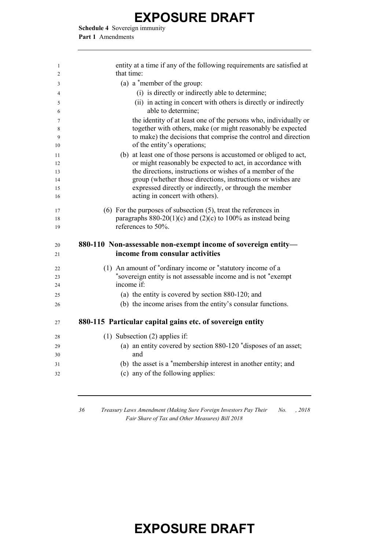**Schedule 4** Sovereign immunity **Part 1** Amendments

| 1<br>$\overline{c}$ | entity at a time if any of the following requirements are satisfied at<br>that time:          |
|---------------------|-----------------------------------------------------------------------------------------------|
| 3                   | (a) a $*$ member of the group:                                                                |
| 4                   | (i) is directly or indirectly able to determine;                                              |
| 5                   | (ii) in acting in concert with others is directly or indirectly                               |
| 6                   | able to determine;                                                                            |
| 7                   | the identity of at least one of the persons who, individually or                              |
| 8                   | together with others, make (or might reasonably be expected                                   |
| 9                   | to make) the decisions that comprise the control and direction<br>of the entity's operations; |
| 10                  | (b) at least one of those persons is accustomed or obliged to act,                            |
| 11<br>12            | or might reasonably be expected to act, in accordance with                                    |
| 13                  | the directions, instructions or wishes of a member of the                                     |
| 14                  | group (whether those directions, instructions or wishes are                                   |
| 15                  | expressed directly or indirectly, or through the member                                       |
| 16                  | acting in concert with others).                                                               |
| 17                  | $(6)$ For the purposes of subsection $(5)$ , treat the references in                          |
| 18                  | paragraphs $880-20(1)(c)$ and $(2)(c)$ to 100% as instead being                               |
| 19                  | references to 50%.                                                                            |
| 20                  | 880-110 Non-assessable non-exempt income of sovereign entity-                                 |
| 21                  | income from consular activities                                                               |
| 22                  | (1) An amount of *ordinary income or *statutory income of a                                   |
| 23                  | *sovereign entity is not assessable income and is not *exempt                                 |
| 24                  | income if:                                                                                    |
| 25                  | (a) the entity is covered by section 880-120; and                                             |
| 26                  | (b) the income arises from the entity's consular functions.                                   |
| 27                  | 880-115 Particular capital gains etc. of sovereign entity                                     |
| 28                  | $(1)$ Subsection $(2)$ applies if:                                                            |
| 29                  | (a) an entity covered by section 880-120 *disposes of an asset;                               |
| 30                  | and                                                                                           |
| 31                  | (b) the asset is a *membership interest in another entity; and                                |
| 32                  | (c) any of the following applies:                                                             |
|                     |                                                                                               |
|                     |                                                                                               |

*36 Treasury Laws Amendment (Making Sure Foreign Investors Pay Their No. , 2018 Fair Share of Tax and Other Measures) Bill 2018*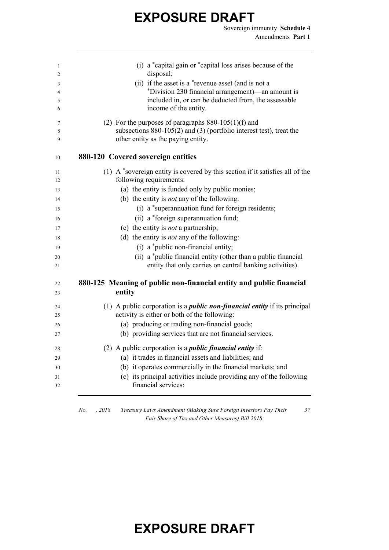Sovereign immunity **Schedule 4** Amendments **Part 1**

*37*

| 1        | (i) a *capital gain or *capital loss arises because of the                                                    |
|----------|---------------------------------------------------------------------------------------------------------------|
| 2        | disposal;                                                                                                     |
| 3<br>4   | (ii) if the asset is a *revenue asset (and is not a<br>*Division 230 financial arrangement)—an amount is      |
| 5        | included in, or can be deducted from, the assessable                                                          |
| 6        | income of the entity.                                                                                         |
| 7        | (2) For the purposes of paragraphs $880-105(1)(f)$ and                                                        |
| 8<br>9   | subsections $880-105(2)$ and $(3)$ (portfolio interest test), treat the<br>other entity as the paying entity. |
| 10       | 880-120 Covered sovereign entities                                                                            |
| 11       | (1) A *sovereign entity is covered by this section if it satisfies all of the                                 |
| 12       | following requirements:                                                                                       |
| 13       | (a) the entity is funded only by public monies;                                                               |
| 14       | (b) the entity is <i>not</i> any of the following:                                                            |
| 15       | (i) a *superannuation fund for foreign residents;                                                             |
| 16       | (ii) a *foreign superannuation fund;                                                                          |
| 17       | (c) the entity is <i>not</i> a partnership;                                                                   |
| 18       | (d) the entity is <i>not</i> any of the following:                                                            |
| 19       | (i) a *public non-financial entity;                                                                           |
| 20       | (ii) a *public financial entity (other than a public financial                                                |
| 21       | entity that only carries on central banking activities).                                                      |
| 22       | 880-125 Meaning of public non-financial entity and public financial                                           |
| 23       | entity                                                                                                        |
| 24       | (1) A public corporation is a <i>public non-financial entity</i> if its principal                             |
| 25       | activity is either or both of the following:                                                                  |
| 26       | (a) producing or trading non-financial goods;                                                                 |
| 27       | (b) providing services that are not financial services.                                                       |
| 28       | (2) A public corporation is a <i>public financial entity</i> if:                                              |
| 29       | (a) it trades in financial assets and liabilities; and                                                        |
| 30       | (b) it operates commercially in the financial markets; and                                                    |
| 31<br>32 | (c) its principal activities include providing any of the following<br>financial services:                    |

*No. , 2018 Treasury Laws Amendment (Making Sure Foreign Investors Pay Their Fair Share of Tax and Other Measures) Bill 2018*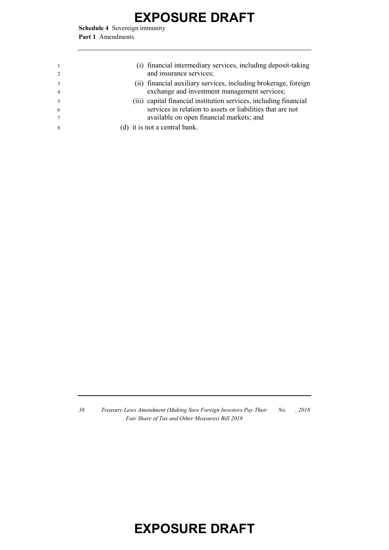**Schedule 4** Sovereign immunity **Part 1** Amendments

|    | (i) financial intermediary services, including deposit-taking<br>and insurance services; |
|----|------------------------------------------------------------------------------------------|
|    | (ii) financial auxiliary services, including brokerage, foreign                          |
|    | exchange and investment management services;                                             |
|    | (iii) capital financial institution services, including financial                        |
| -6 | services in relation to assets or liabilities that are not                               |
|    | available on open financial markets; and                                                 |
| 8  | (d) it is not a central bank.                                                            |

*38 Treasury Laws Amendment (Making Sure Foreign Investors Pay Their Fair Share of Tax and Other Measures) Bill 2018 No. , 2018*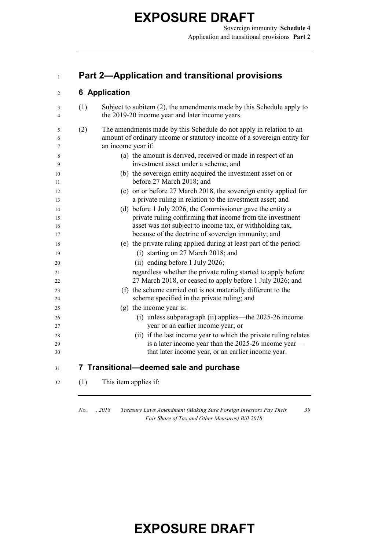#### **Part 2—Application and transitional provisions**

#### **6 Application**

| 3  | (1) | Subject to subitem (2), the amendments made by this Schedule apply to<br>the 2019-20 income year and later income years. |
|----|-----|--------------------------------------------------------------------------------------------------------------------------|
| 4  |     |                                                                                                                          |
| 5  | (2) | The amendments made by this Schedule do not apply in relation to an                                                      |
| 6  |     | amount of ordinary income or statutory income of a sovereign entity for                                                  |
| 7  |     | an income year if:                                                                                                       |
| 8  |     | (a) the amount is derived, received or made in respect of an                                                             |
| 9  |     | investment asset under a scheme; and                                                                                     |
| 10 |     | (b) the sovereign entity acquired the investment asset on or                                                             |
| 11 |     | before 27 March 2018; and                                                                                                |
| 12 |     | (c) on or before 27 March 2018, the sovereign entity applied for                                                         |
| 13 |     | a private ruling in relation to the investment asset; and                                                                |
| 14 |     | (d) before 1 July 2026, the Commissioner gave the entity a                                                               |
| 15 |     | private ruling confirming that income from the investment                                                                |
| 16 |     | asset was not subject to income tax, or withholding tax,                                                                 |
| 17 |     | because of the doctrine of sovereign immunity; and                                                                       |
| 18 |     | (e) the private ruling applied during at least part of the period:                                                       |
| 19 |     | (i) starting on 27 March 2018; and                                                                                       |
| 20 |     | (ii) ending before 1 July 2026;                                                                                          |
| 21 |     | regardless whether the private ruling started to apply before                                                            |
| 22 |     | 27 March 2018, or ceased to apply before 1 July 2026; and                                                                |
| 23 |     | (f) the scheme carried out is not materially different to the                                                            |
| 24 |     | scheme specified in the private ruling; and                                                                              |
| 25 |     | (g) the income year is:                                                                                                  |
| 26 |     | $(i)$ unless subparagraph $(ii)$ applies—the 2025-26 income                                                              |
| 27 |     | year or an earlier income year; or                                                                                       |
| 28 |     | (ii) if the last income year to which the private ruling relates                                                         |
| 29 |     | is a later income year than the 2025-26 income year—                                                                     |
| 30 |     | that later income year, or an earlier income year.                                                                       |
| 31 |     | 7 Transitional-deemed sale and purchase                                                                                  |
| 32 | (1) | This item applies if:                                                                                                    |
|    |     |                                                                                                                          |

*No. , 2018 Treasury Laws Amendment (Making Sure Foreign Investors Pay Their Fair Share of Tax and Other Measures) Bill 2018*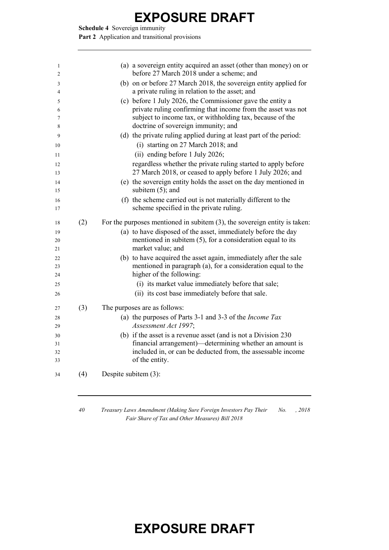**Schedule 4** Sovereign immunity

Part 2 Application and transitional provisions

| 1  |     | (a) a sovereign entity acquired an asset (other than money) on or            |
|----|-----|------------------------------------------------------------------------------|
| 2  |     | before 27 March 2018 under a scheme; and                                     |
| 3  |     | (b) on or before 27 March 2018, the sovereign entity applied for             |
| 4  |     | a private ruling in relation to the asset; and                               |
| 5  |     | (c) before 1 July 2026, the Commissioner gave the entity a                   |
| 6  |     | private ruling confirming that income from the asset was not                 |
| 7  |     | subject to income tax, or withholding tax, because of the                    |
| 8  |     | doctrine of sovereign immunity; and                                          |
| 9  |     | (d) the private ruling applied during at least part of the period:           |
| 10 |     | (i) starting on 27 March 2018; and                                           |
| 11 |     | (ii) ending before 1 July 2026;                                              |
| 12 |     | regardless whether the private ruling started to apply before                |
| 13 |     | 27 March 2018, or ceased to apply before 1 July 2026; and                    |
| 14 |     | (e) the sovereign entity holds the asset on the day mentioned in             |
| 15 |     | subitem $(5)$ ; and                                                          |
| 16 |     | (f) the scheme carried out is not materially different to the                |
| 17 |     | scheme specified in the private ruling.                                      |
| 18 | (2) | For the purposes mentioned in subitem $(3)$ , the sovereign entity is taken: |
| 19 |     | (a) to have disposed of the asset, immediately before the day                |
| 20 |     | mentioned in subitem $(5)$ , for a consideration equal to its                |
| 21 |     | market value; and                                                            |
| 22 |     | (b) to have acquired the asset again, immediately after the sale             |
| 23 |     | mentioned in paragraph (a), for a consideration equal to the                 |
| 24 |     | higher of the following:                                                     |
| 25 |     | (i) its market value immediately before that sale;                           |
| 26 |     | (ii) its cost base immediately before that sale.                             |
| 27 | (3) | The purposes are as follows:                                                 |
| 28 |     | (a) the purposes of Parts 3-1 and 3-3 of the <i>Income Tax</i>               |
| 29 |     | Assessment Act 1997;                                                         |
| 30 |     | (b) if the asset is a revenue asset (and is not a Division 230               |
| 31 |     | financial arrangement)-determining whether an amount is                      |
| 32 |     | included in, or can be deducted from, the assessable income                  |
| 33 |     | of the entity.                                                               |
| 34 | (4) | Despite subitem (3):                                                         |
|    |     |                                                                              |

 *Treasury Laws Amendment (Making Sure Foreign Investors Pay Their Fair Share of Tax and Other Measures) Bill 2018 No. , 2018*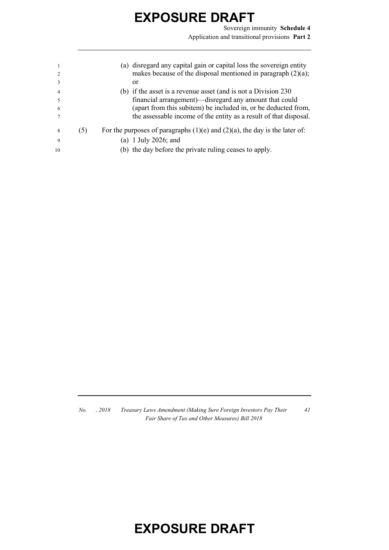Sovereign immunity **Schedule 4** Application and transitional provisions **Part 2**

|    |     | (a) disregard any capital gain or capital loss the sovereign entity<br>makes because of the disposal mentioned in paragraph $(2)(a)$ ; |
|----|-----|----------------------------------------------------------------------------------------------------------------------------------------|
|    |     | <sub>or</sub>                                                                                                                          |
| 4  |     | (b) if the asset is a revenue asset (and is not a Division 230                                                                         |
|    |     | financial arrangement)—disregard any amount that could                                                                                 |
| 6  |     | (apart from this subitem) be included in, or be deducted from,                                                                         |
|    |     | the assessable income of the entity as a result of that disposal.                                                                      |
| 8  | (5) | For the purposes of paragraphs $(1)(e)$ and $(2)(a)$ , the day is the later of:                                                        |
| 9  |     | (a) 1 July 2026; and                                                                                                                   |
| 10 |     | (b) the day before the private ruling ceases to apply.                                                                                 |

*No. , 2018 Treasury Laws Amendment (Making Sure Foreign Investors Pay Their Fair Share of Tax and Other Measures) Bill 2018*

*41*